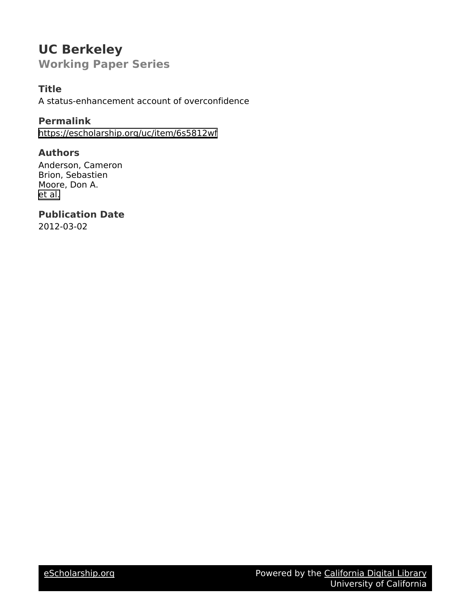# **UC Berkeley Working Paper Series**

# **Title**

A status-enhancement account of overconfidence

# **Permalink**

<https://escholarship.org/uc/item/6s5812wf>

# **Authors**

Anderson, Cameron Brion, Sebastien Moore, Don A. [et al.](https://escholarship.org/uc/item/6s5812wf#author)

# **Publication Date**

2012-03-02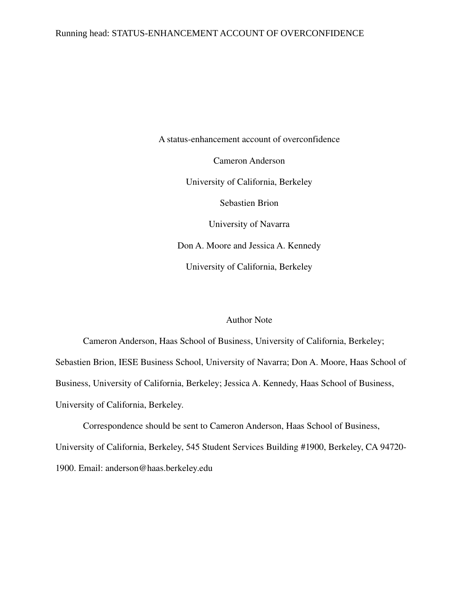# Running head: STATUS-ENHANCEMENT ACCOUNT OF OVERCONFIDENCE

A status-enhancement account of overconfidence Cameron Anderson University of California, Berkeley Sebastien Brion University of Navarra Don A. Moore and Jessica A. Kennedy University of California, Berkeley

# Author Note

Cameron Anderson, Haas School of Business, University of California, Berkeley; Sebastien Brion, IESE Business School, University of Navarra; Don A. Moore, Haas School of Business, University of California, Berkeley; Jessica A. Kennedy, Haas School of Business, University of California, Berkeley.

Correspondence should be sent to Cameron Anderson, Haas School of Business, University of California, Berkeley, 545 Student Services Building #1900, Berkeley, CA 94720 1900. Email: anderson@haas.berkeley.edu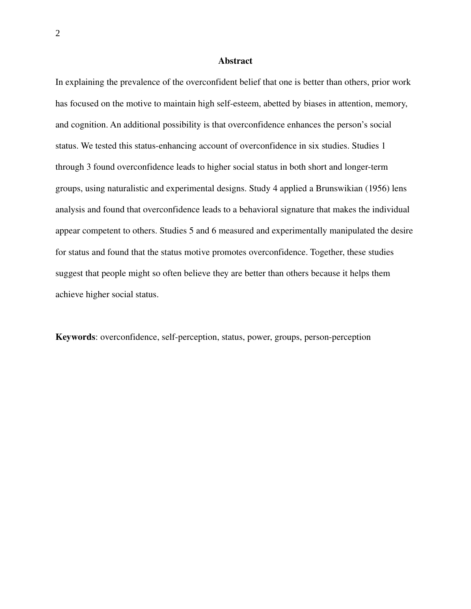#### Abstract

In explaining the prevalence of the overconfident belief that one is better than others, prior work has focused on the motive to maintain high self-esteem, abetted by biases in attention, memory, and cognition. An additional possibility is that overconfidence enhances the person's social status. We tested this status-enhancing account of overconfidence in six studies. Studies 1 through 3 found overconfidence leads to higher social status in both short and longer-term groups, using naturalistic and experimental designs. Study 4 applied a Brunswikian (1956) lens analysis and found that overconfidence leads to a behavioral signature that makes the individual appear competent to others. Studies 5 and 6 measured and experimentally manipulated the desire for status and found that the status motive promotes overconfidence. Together, these studies suggest that people might so often believe they are better than others because it helps them achieve higher social status.

Keywords: overconfidence, self-perception, status, power, groups, person-perception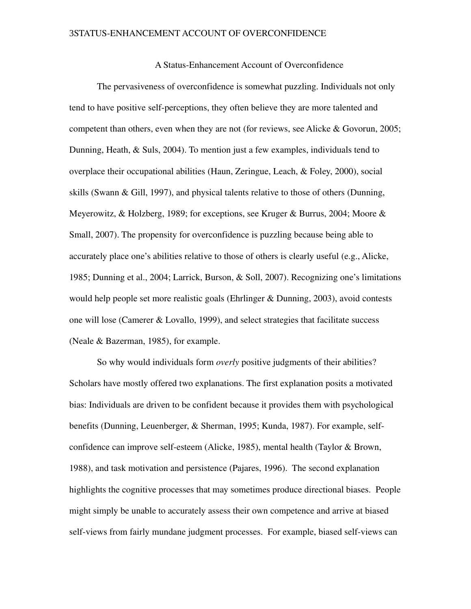A Status-Enhancement Account of Overconfidence

The pervasiveness of overconfidence is somewhat puzzling. Individuals not only tend to have positive self-perceptions, they often believe they are more talented and competent than others, even when they are not (for reviews, see Alicke & Govorun, 2005; Dunning, Heath, & Suls, 2004). To mention just a few examples, individuals tend to overplace their occupational abilities (Haun, Zeringue, Leach, & Foley, 2000), social skills (Swann & Gill, 1997), and physical talents relative to those of others (Dunning, Meyerowitz, & Holzberg, 1989; for exceptions, see Kruger & Burrus, 2004; Moore & Small, 2007). The propensity for overconfidence is puzzling because being able to accurately place one's abilities relative to those of others is clearly useful (e.g., Alicke, 1985; Dunning et al., 2004; Larrick, Burson, & Soll, 2007). Recognizing one's limitations would help people set more realistic goals (Ehrlinger & Dunning, 2003), avoid contests one will lose (Camerer & Lovallo, 1999), and select strategies that facilitate success (Neale & Bazerman, 1985), for example.

So why would individuals form *overly* positive judgments of their abilities? Scholars have mostly offered two explanations. The first explanation posits a motivated bias: Individuals are driven to be confident because it provides them with psychological benefits (Dunning, Leuenberger, & Sherman, 1995; Kunda, 1987). For example, selfconfidence can improve self-esteem (Alicke, 1985), mental health (Taylor & Brown, 1988), and task motivation and persistence (Pajares, 1996). The second explanation highlights the cognitive processes that may sometimes produce directional biases. People might simply be unable to accurately assess their own competence and arrive at biased self-views from fairly mundane judgment processes. For example, biased self-views can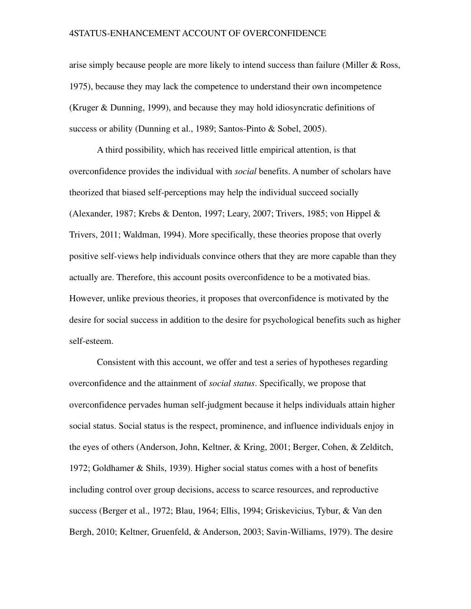arise simply because people are more likely to intend success than failure (Miller & Ross, 1975), because they may lack the competence to understand their own incompetence (Kruger & Dunning, 1999), and because they may hold idiosyncratic definitions of success or ability (Dunning et al., 1989; Santos-Pinto & Sobel, 2005).

A third possibility, which has received little empirical attention, is that overconfidence provides the individual with *social* benefits. A number of scholars have theorized that biased self-perceptions may help the individual succeed socially (Alexander, 1987; Krebs & Denton, 1997; Leary, 2007; Trivers, 1985; von Hippel & Trivers, 2011; Waldman, 1994). More specifically, these theories propose that overly positive self-views help individuals convince others that they are more capable than they actually are. Therefore, this account posits overconfidence to be a motivated bias. However, unlike previous theories, it proposes that overconfidence is motivated by the desire for social success in addition to the desire for psychological benefits such as higher self-esteem.

Consistent with this account, we offer and test a series of hypotheses regarding overconfidence and the attainment of *social status*. Specifically, we propose that overconfidence pervades human self-judgment because it helps individuals attain higher social status. Social status is the respect, prominence, and influence individuals enjoy in the eyes of others (Anderson, John, Keltner, & Kring, 2001; Berger, Cohen, & Zelditch, 1972; Goldhamer & Shils, 1939). Higher social status comes with a host of benefits including control over group decisions, access to scarce resources, and reproductive success (Berger et al., 1972; Blau, 1964; Ellis, 1994; Griskevicius, Tybur, & Van den Bergh, 2010; Keltner, Gruenfeld, & Anderson, 2003; Savin-Williams, 1979). The desire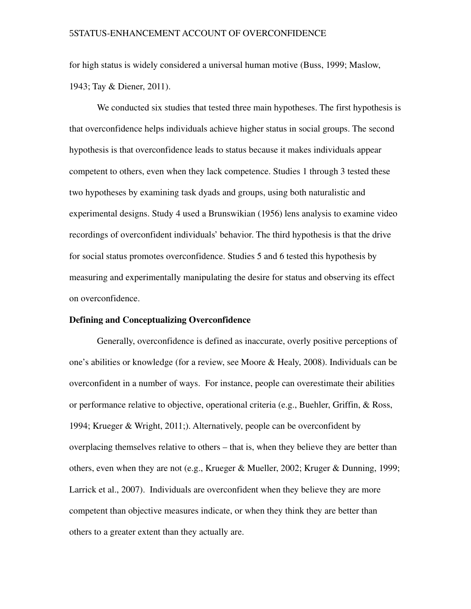for high status is widely considered a universal human motive (Buss, 1999; Maslow, 1943; Tay & Diener, 2011).

We conducted six studies that tested three main hypotheses. The first hypothesis is that overconfidence helps individuals achieve higher status in social groups. The second hypothesis is that overconfidence leads to status because it makes individuals appear competent to others, even when they lack competence. Studies 1 through 3 tested these two hypotheses by examining task dyads and groups, using both naturalistic and experimental designs. Study 4 used a Brunswikian (1956) lens analysis to examine video recordings of overconfident individuals' behavior. The third hypothesis is that the drive for social status promotes overconfidence. Studies 5 and 6 tested this hypothesis by measuring and experimentally manipulating the desire for status and observing its effect on overconfidence.

#### Defining and Conceptualizing Overconfidence

Generally, overconfidence is defined as inaccurate, overly positive perceptions of one's abilities or knowledge (for a review, see Moore & Healy, 2008). Individuals can be overconfident in a number of ways. For instance, people can overestimate their abilities or performance relative to objective, operational criteria (e.g., Buehler, Griffin, & Ross, 1994; Krueger & Wright, 2011;). Alternatively, people can be overconfident by overplacing themselves relative to others – that is, when they believe they are better than others, even when they are not (e.g., Krueger & Mueller, 2002; Kruger & Dunning, 1999; Larrick et al., 2007). Individuals are overconfident when they believe they are more competent than objective measures indicate, or when they think they are better than others to a greater extent than they actually are.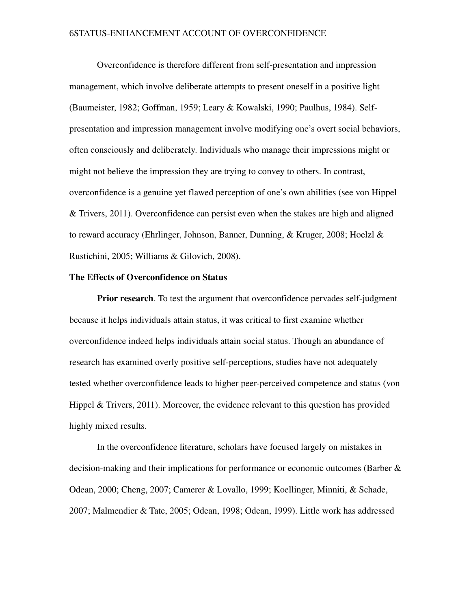Overconfidence is therefore different from self-presentation and impression management, which involve deliberate attempts to present oneself in a positive light (Baumeister, 1982; Goffman, 1959; Leary & Kowalski, 1990; Paulhus, 1984). Selfpresentation and impression management involve modifying one's overt social behaviors, often consciously and deliberately. Individuals who manage their impressions might or might not believe the impression they are trying to convey to others. In contrast, overconfidence is a genuine yet flawed perception of one's own abilities (see von Hippel & Trivers, 2011). Overconfidence can persist even when the stakes are high and aligned to reward accuracy (Ehrlinger, Johnson, Banner, Dunning, & Kruger, 2008; Hoelzl & Rustichini, 2005; Williams & Gilovich, 2008).

# The Effects of Overconfidence on Status

**Prior research**. To test the argument that overconfidence pervades self-judgment because it helps individuals attain status, it was critical to first examine whether overconfidence indeed helps individuals attain social status. Though an abundance of research has examined overly positive self-perceptions, studies have not adequately tested whether overconfidence leads to higher peer-perceived competence and status (von Hippel & Trivers, 2011). Moreover, the evidence relevant to this question has provided highly mixed results.

In the overconfidence literature, scholars have focused largely on mistakes in decision-making and their implications for performance or economic outcomes (Barber  $\&$ Odean, 2000; Cheng, 2007; Camerer & Lovallo, 1999; Koellinger, Minniti, & Schade, 2007; Malmendier & Tate, 2005; Odean, 1998; Odean, 1999). Little work has addressed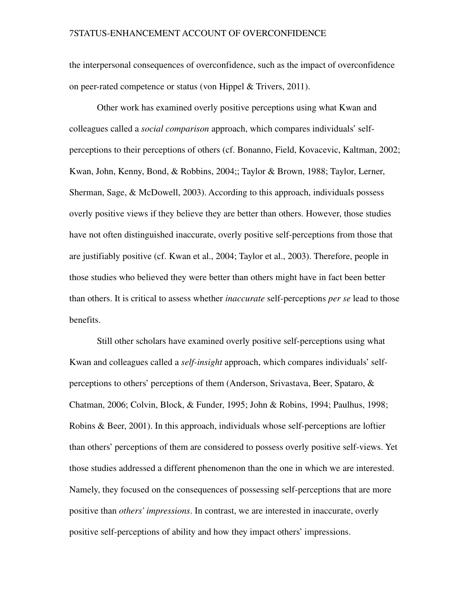the interpersonal consequences of overconfidence, such as the impact of overconfidence on peer-rated competence or status (von Hippel & Trivers, 2011).

Other work has examined overly positive perceptions using what Kwan and colleagues called a *social comparison* approach, which compares individuals' selfperceptions to their perceptions of others (cf. Bonanno, Field, Kovacevic, Kaltman, 2002; Kwan, John, Kenny, Bond, & Robbins, 2004;; Taylor & Brown, 1988; Taylor, Lerner, Sherman, Sage, & McDowell, 2003). According to this approach, individuals possess overly positive views if they believe they are better than others. However, those studies have not often distinguished inaccurate, overly positive self-perceptions from those that are justifiably positive (cf. Kwan et al., 2004; Taylor et al., 2003). Therefore, people in those studies who believed they were better than others might have in fact been better than others. It is critical to assess whether *inaccurate* self-perceptions *per se* lead to those benefits.

Still other scholars have examined overly positive self-perceptions using what Kwan and colleagues called a *self-insight* approach, which compares individuals' selfperceptions to others' perceptions of them (Anderson, Srivastava, Beer, Spataro, & Chatman, 2006; Colvin, Block, & Funder, 1995; John & Robins, 1994; Paulhus, 1998; Robins  $\&$  Beer, 2001). In this approach, individuals whose self-perceptions are loftier than others' perceptions of them are considered to possess overly positive self-views. Yet those studies addressed a different phenomenon than the one in which we are interested. Namely, they focused on the consequences of possessing self-perceptions that are more positive than *others' impressions*. In contrast, we are interested in inaccurate, overly positive self-perceptions of ability and how they impact others' impressions.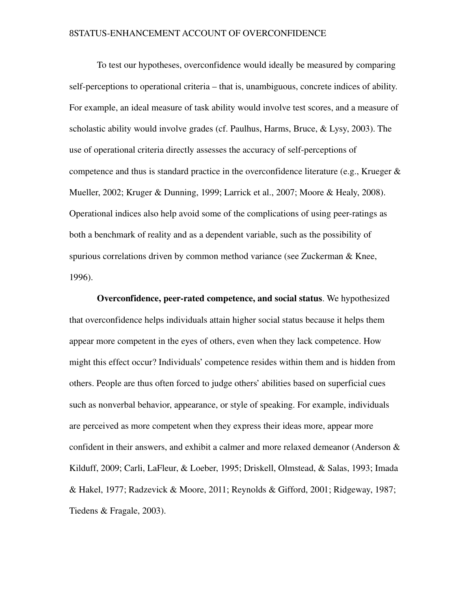To test our hypotheses, overconfidence would ideally be measured by comparing self-perceptions to operational criteria – that is, unambiguous, concrete indices of ability. For example, an ideal measure of task ability would involve test scores, and a measure of scholastic ability would involve grades (cf. Paulhus, Harms, Bruce, & Lysy, 2003). The use of operational criteria directly assesses the accuracy of self-perceptions of competence and thus is standard practice in the overconfidence literature (e.g., Krueger & Mueller, 2002; Kruger & Dunning, 1999; Larrick et al., 2007; Moore & Healy, 2008). Operational indices also help avoid some of the complications of using peerratings as both a benchmark of reality and as a dependent variable, such as the possibility of spurious correlations driven by common method variance (see Zuckerman & Knee, 1996).

Overconfidence, peerrated competence, and social status. We hypothesized that overconfidence helps individuals attain higher social status because it helps them appear more competent in the eyes of others, even when they lack competence. How might this effect occur? Individuals' competence resides within them and is hidden from others. People are thus often forced to judge others' abilities based on superficial cues such as nonverbal behavior, appearance, or style of speaking. For example, individuals are perceived as more competent when they express their ideas more, appear more confident in their answers, and exhibit a calmer and more relaxed demeanor (Anderson & Kilduff, 2009; Carli, LaFleur, & Loeber, 1995; Driskell, Olmstead, & Salas, 1993; Imada & Hakel, 1977; Radzevick & Moore, 2011; Reynolds & Gifford, 2001; Ridgeway, 1987; Tiedens & Fragale, 2003).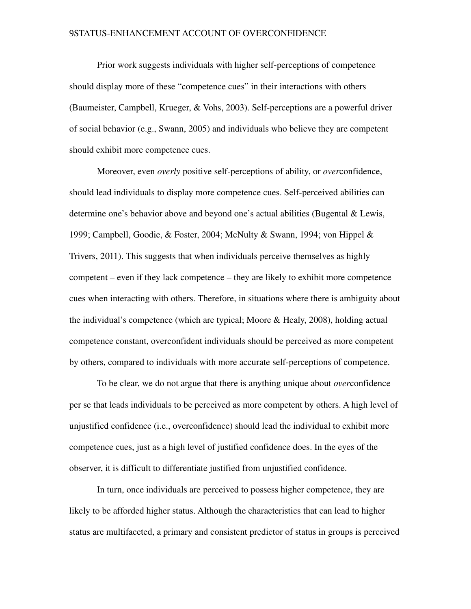Prior work suggests individuals with higher self-perceptions of competence should display more of these "competence cues" in their interactions with others (Baumeister, Campbell, Krueger,  $&$  Vohs, 2003). Self-perceptions are a powerful driver of social behavior (e.g., Swann, 2005) and individuals who believe they are competent should exhibit more competence cues.

Moreover, even *overly* positive self-perceptions of ability, or *over*confidence, should lead individuals to display more competence cues. Self-perceived abilities can determine one's behavior above and beyond one's actual abilities (Bugental & Lewis, 1999; Campbell, Goodie, & Foster, 2004; McNulty & Swann, 1994; von Hippel & Trivers, 2011). This suggests that when individuals perceive themselves as highly competent – even if they lack competence – they are likely to exhibit more competence cues when interacting with others. Therefore, in situations where there is ambiguity about the individual's competence (which are typical; Moore & Healy, 2008), holding actual competence constant, overconfident individuals should be perceived as more competent by others, compared to individuals with more accurate self-perceptions of competence.

To be clear, we do not argue that there is anything unique about *over*confidence per se that leads individuals to be perceived as more competent by others. A high level of unjustified confidence (i.e., overconfidence) should lead the individual to exhibit more competence cues, just as a high level of justified confidence does. In the eyes of the observer, it is difficult to differentiate justified from unjustified confidence.

In turn, once individuals are perceived to possess higher competence, they are likely to be afforded higher status. Although the characteristics that can lead to higher status are multifaceted, a primary and consistent predictor of status in groups is perceived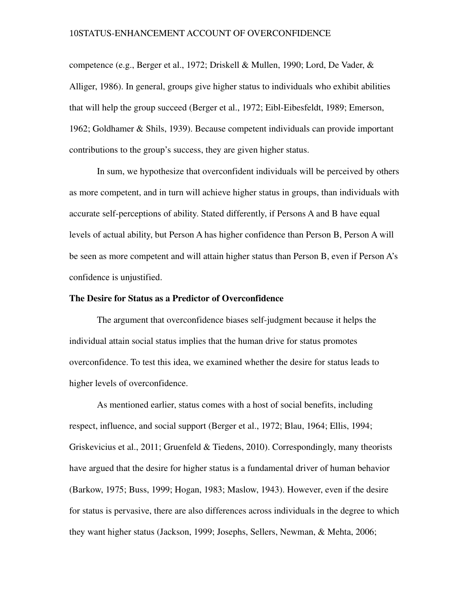competence (e.g., Berger et al., 1972; Driskell & Mullen, 1990; Lord, De Vader, & Alliger, 1986). In general, groups give higher status to individuals who exhibit abilities that will help the group succeed (Berger et al., 1972; Eibl-Eibesfeldt, 1989; Emerson, 1962; Goldhamer & Shils, 1939). Because competent individuals can provide important contributions to the group's success, they are given higher status.

In sum, we hypothesize that overconfident individuals will be perceived by others as more competent, and in turn will achieve higher status in groups, than individuals with accurate self-perceptions of ability. Stated differently, if Persons A and B have equal levels of actual ability, but Person A has higher confidence than Person B, Person A will be seen as more competent and will attain higher status than Person B, even if Person A's confidence is unjustified.

#### The Desire for Status as a Predictor of Overconfidence

The argument that overconfidence biases self-judgment because it helps the individual attain social status implies that the human drive for status promotes overconfidence. To test this idea, we examined whether the desire for status leads to higher levels of overconfidence.

As mentioned earlier, status comes with a host of social benefits, including respect, influence, and social support (Berger et al., 1972; Blau, 1964; Ellis, 1994; Griskevicius et al., 2011; Gruenfeld & Tiedens, 2010). Correspondingly, many theorists have argued that the desire for higher status is a fundamental driver of human behavior (Barkow, 1975; Buss, 1999; Hogan, 1983; Maslow, 1943). However, even if the desire for status is pervasive, there are also differences across individuals in the degree to which they want higher status (Jackson, 1999; Josephs, Sellers, Newman, & Mehta, 2006;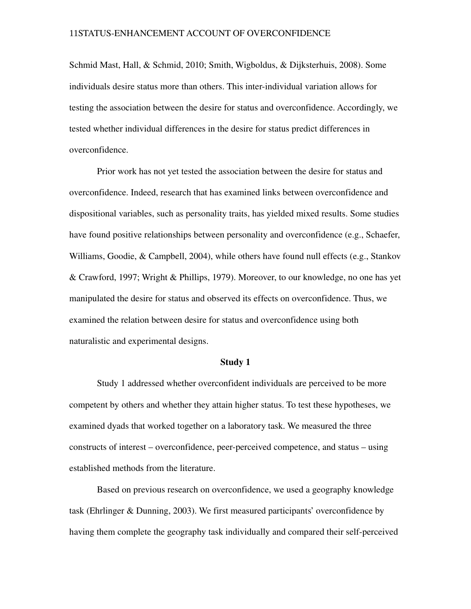Schmid Mast, Hall, & Schmid, 2010; Smith, Wigboldus, & Dijksterhuis, 2008). Some individuals desire status more than others. This inter-individual variation allows for testing the association between the desire for status and overconfidence. Accordingly, we tested whether individual differences in the desire for status predict differences in overconfidence.

Prior work has not yet tested the association between the desire for status and overconfidence. Indeed, research that has examined links between overconfidence and dispositional variables, such as personality traits, has yielded mixed results. Some studies have found positive relationships between personality and overconfidence (e.g., Schaefer, Williams, Goodie, & Campbell, 2004), while others have found null effects (e.g., Stankov & Crawford, 1997; Wright & Phillips, 1979). Moreover, to our knowledge, no one has yet manipulated the desire for status and observed its effects on overconfidence. Thus, we examined the relation between desire for status and overconfidence using both naturalistic and experimental designs.

#### Study 1

Study 1 addressed whether overconfident individuals are perceived to be more competent by others and whether they attain higher status. To test these hypotheses, we examined dyads that worked together on a laboratory task. We measured the three constructs of interest – overconfidence, peer-perceived competence, and status – using established methods from the literature.

Based on previous research on overconfidence, we used a geography knowledge task (Ehrlinger & Dunning, 2003). We first measured participants' overconfidence by having them complete the geography task individually and compared their self-perceived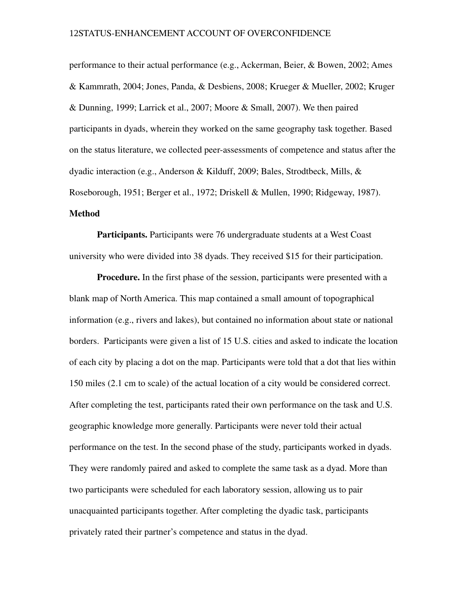performance to their actual performance (e.g., Ackerman, Beier, & Bowen, 2002; Ames & Kammrath, 2004; Jones, Panda, & Desbiens, 2008; Krueger & Mueller, 2002; Kruger & Dunning, 1999; Larrick et al., 2007; Moore & Small, 2007). We then paired participants in dyads, wherein they worked on the same geography task together. Based on the status literature, we collected peerassessments of competence and status after the dyadic interaction (e.g., Anderson & Kilduff, 2009; Bales, Strodtbeck, Mills, & Roseborough, 1951; Berger et al., 1972; Driskell & Mullen, 1990; Ridgeway, 1987). Method

Participants. Participants were 76 undergraduate students at a West Coast university who were divided into 38 dyads. They received \$15 for their participation.

Procedure. In the first phase of the session, participants were presented with a blank map of North America. This map contained a small amount of topographical information (e.g., rivers and lakes), but contained no information about state or national borders. Participants were given a list of 15 U.S. cities and asked to indicate the location of each city by placing a dot on the map. Participants were told that a dot that lies within 150 miles (2.1 cm to scale) of the actual location of a city would be considered correct. After completing the test, participants rated their own performance on the task and U.S. geographic knowledge more generally. Participants were never told their actual performance on the test. In the second phase of the study, participants worked in dyads. They were randomly paired and asked to complete the same task as a dyad. More than two participants were scheduled for each laboratory session, allowing us to pair unacquainted participants together. After completing the dyadic task, participants privately rated their partner's competence and status in the dyad.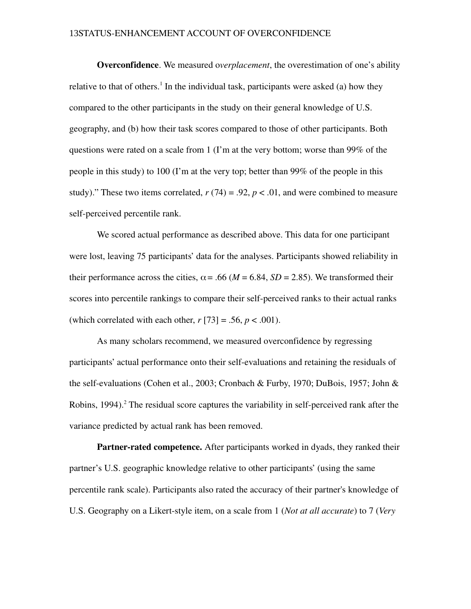Overconfidence. We measured o*verplacement*, the overestimation of one's ability relative to that of others.<sup>1</sup> In the individual task, participants were asked (a) how they compared to the other participants in the study on their general knowledge of U.S. geography, and (b) how their task scores compared to those of other participants. Both questions were rated on a scale from 1 (I'm at the very bottom; worse than 99% of the people in this study) to 100 (I'm at the very top; better than 99% of the people in this study)." These two items correlated,  $r(74) = .92$ ,  $p < .01$ , and were combined to measure self-perceived percentile rank.

We scored actual performance as described above. This data for one participant were lost, leaving 75 participants' data for the analyses. Participants showed reliability in their performance across the cities,  $\alpha$  = .66 (*M* = 6.84, *SD* = 2.85). We transformed their scores into percentile rankings to compare their self-perceived ranks to their actual ranks (which correlated with each other,  $r[73] = .56$ ,  $p < .001$ ).

As many scholars recommend, we measured overconfidence by regressing participants' actual performance onto their self-evaluations and retaining the residuals of the self-evaluations (Cohen et al., 2003; Cronbach & Furby, 1970; DuBois, 1957; John & Robins, 1994).<sup>2</sup> The residual score captures the variability in self-perceived rank after the variance predicted by actual rank has been removed.

**Partner-rated competence.** After participants worked in dyads, they ranked their partner's U.S. geographic knowledge relative to other participants' (using the same percentile rank scale). Participants also rated the accuracy of their partner's knowledge of U.S. Geography on a Likert-style item, on a scale from 1 (*Not at all accurate*) to 7 (*Very*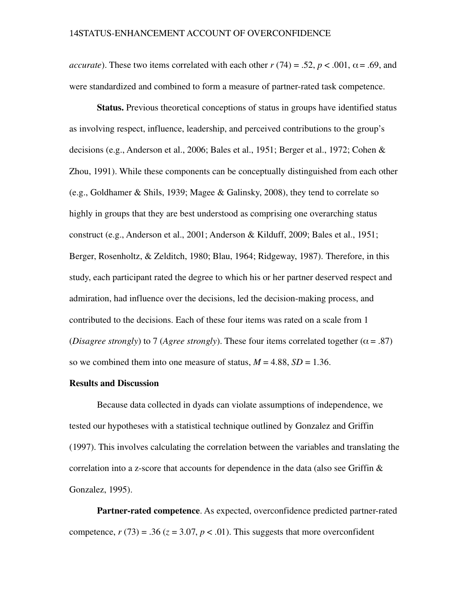*accurate*). These two items correlated with each other  $r(74) = .52$ ,  $p < .001$ ,  $\alpha = .69$ , and were standardized and combined to form a measure of partner-rated task competence.

Status. Previous theoretical conceptions of status in groups have identified status as involving respect, influence, leadership, and perceived contributions to the group's decisions (e.g., Anderson et al., 2006; Bales et al., 1951; Berger et al., 1972; Cohen & Zhou, 1991). While these components can be conceptually distinguished from each other (e.g., Goldhamer & Shils, 1939; Magee & Galinsky, 2008), they tend to correlate so highly in groups that they are best understood as comprising one overarching status construct (e.g., Anderson et al., 2001; Anderson & Kilduff, 2009; Bales et al., 1951; Berger, Rosenholtz, & Zelditch, 1980; Blau, 1964; Ridgeway, 1987). Therefore, in this study, each participant rated the degree to which his or her partner deserved respect and admiration, had influence over the decisions, led the decision-making process, and contributed to the decisions. Each of these four items was rated on a scale from 1 (*Disagree strongly*) to 7 (*Agree strongly*). These four items correlated together ( $\alpha$  = .87) so we combined them into one measure of status,  $M = 4.88$ ,  $SD = 1.36$ .

#### Results and Discussion

Because data collected in dyads can violate assumptions of independence, we tested our hypotheses with a statistical technique outlined by Gonzalez and Griffin (1997). This involves calculating the correlation between the variables and translating the correlation into a z-score that accounts for dependence in the data (also see Griffin  $\&$ Gonzalez, 1995).

Partner-rated competence. As expected, overconfidence predicted partner-rated competence,  $r(73) = .36$  ( $z = 3.07$ ,  $p < .01$ ). This suggests that more overconfident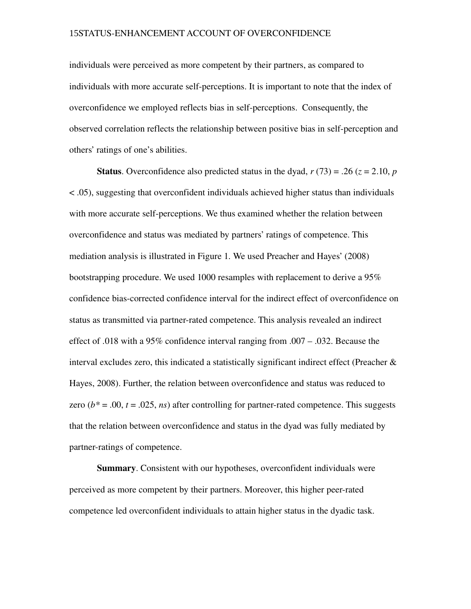individuals were perceived as more competent by their partners, as compared to individuals with more accurate self-perceptions. It is important to note that the index of overconfidence we employed reflects bias in self-perceptions. Consequently, the observed correlation reflects the relationship between positive bias in self-perception and others' ratings of one's abilities.

**Status**. Overconfidence also predicted status in the dyad,  $r(73) = .26$  ( $z = 2.10$ ,  $p$ ) < .05), suggesting that overconfident individuals achieved higher status than individuals with more accurate self-perceptions. We thus examined whether the relation between overconfidence and status was mediated by partners' ratings of competence. This mediation analysis is illustrated in Figure 1. We used Preacher and Hayes' (2008) bootstrapping procedure. We used 1000 resamples with replacement to derive a 95% confidence bias-corrected confidence interval for the indirect effect of overconfidence on status as transmitted via partner-rated competence. This analysis revealed an indirect effect of .018 with a 95% confidence interval ranging from .007 – .032. Because the interval excludes zero, this indicated a statistically significant indirect effect (Preacher  $\&$ Hayes, 2008). Further, the relation between overconfidence and status was reduced to zero  $(b^* = .00, t = .025, ns)$  after controlling for partner-rated competence. This suggests that the relation between overconfidence and status in the dyad was fully mediated by partner-ratings of competence.

Summary. Consistent with our hypotheses, overconfident individuals were perceived as more competent by their partners. Moreover, this higher peerrated competence led overconfident individuals to attain higher status in the dyadic task.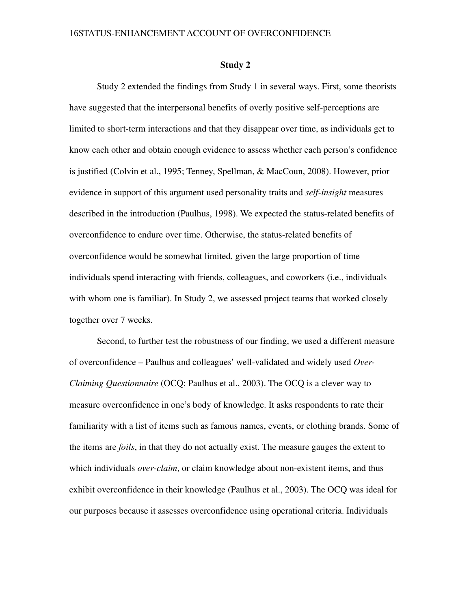#### Study 2

Study 2 extended the findings from Study 1 in several ways. First, some theorists have suggested that the interpersonal benefits of overly positive self-perceptions are limited to short-term interactions and that they disappear over time, as individuals get to know each other and obtain enough evidence to assess whether each person's confidence is justified (Colvin et al., 1995; Tenney, Spellman, & MacCoun, 2008). However, prior evidence in support of this argument used personality traits and *self-insight* measures described in the introduction (Paulhus, 1998). We expected the status-related benefits of overconfidence to endure over time. Otherwise, the status-related benefits of overconfidence would be somewhat limited, given the large proportion of time individuals spend interacting with friends, colleagues, and coworkers (i.e., individuals with whom one is familiar). In Study 2, we assessed project teams that worked closely together over 7 weeks.

Second, to further test the robustness of our finding, we used a different measure of overconfidence – Paulhus and colleagues' well-validated and widely used Over-*Claiming Questionnaire* (OCQ; Paulhus et al., 2003). The OCQ is a clever way to measure overconfidence in one's body of knowledge. It asks respondents to rate their familiarity with a list of items such as famous names, events, or clothing brands. Some of the items are *foils*, in that they do not actually exist. The measure gauges the extent to which individuals *over-claim*, or claim knowledge about non-existent items, and thus exhibit overconfidence in their knowledge (Paulhus et al., 2003). The OCQ was ideal for our purposes because it assesses overconfidence using operational criteria. Individuals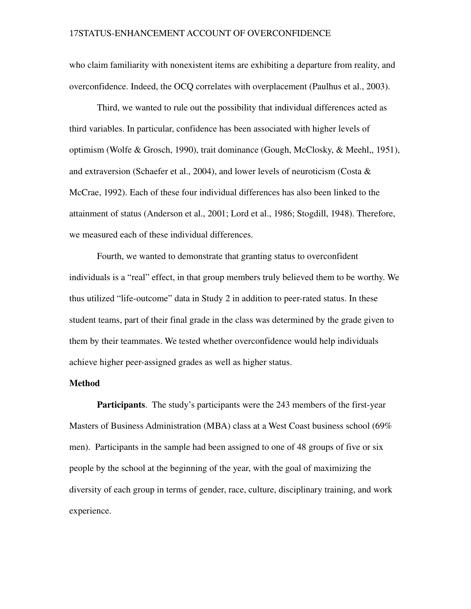who claim familiarity with nonexistent items are exhibiting a departure from reality, and overconfidence. Indeed, the OCQ correlates with overplacement (Paulhus et al., 2003).

Third, we wanted to rule out the possibility that individual differences acted as third variables. In particular, confidence has been associated with higher levels of optimism (Wolfe & Grosch, 1990), trait dominance (Gough, McClosky, & Meehl,, 1951), and extraversion (Schaefer et al., 2004), and lower levels of neuroticism (Costa & McCrae, 1992). Each of these four individual differences has also been linked to the attainment of status (Anderson et al., 2001; Lord et al., 1986; Stogdill, 1948). Therefore, we measured each of these individual differences.

Fourth, we wanted to demonstrate that granting status to overconfident individuals is a "real" effect, in that group members truly believed them to be worthy. We thus utilized "life-outcome" data in Study 2 in addition to peer-rated status. In these student teams, part of their final grade in the class was determined by the grade given to them by their teammates. We tested whether overconfidence would help individuals achieve higher peer-assigned grades as well as higher status.

## Method

Participants. The study's participants were the 243 members of the first-year Masters of Business Administration (MBA) class at a West Coast business school (69% men). Participants in the sample had been assigned to one of 48 groups of five or six people by the school at the beginning of the year, with the goal of maximizing the diversity of each group in terms of gender, race, culture, disciplinary training, and work experience.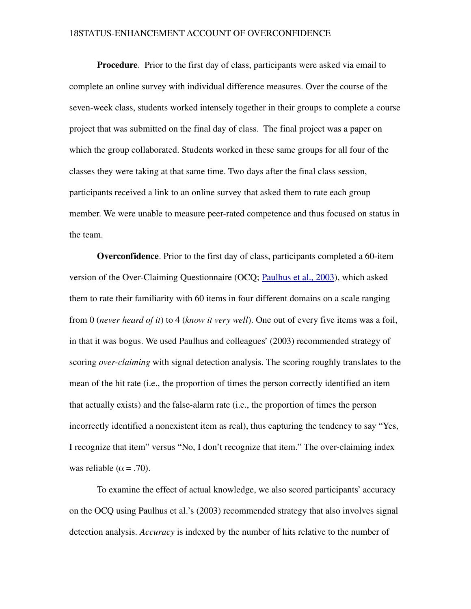**Procedure.** Prior to the first day of class, participants were asked via email to complete an online survey with individual difference measures. Over the course of the seven-week class, students worked intensely together in their groups to complete a course project that was submitted on the final day of class. The final project was a paper on which the group collaborated. Students worked in these same groups for all four of the classes they were taking at that same time. Two days after the final class session, participants received a link to an online survey that asked them to rate each group member. We were unable to measure peer-rated competence and thus focused on status in the team.

<span id="page-18-0"></span>Overconfidence. Prior to the first day of class, participants completed a 60-item version of the Over-Claiming Questionnaire (OCQ; [Paulhus et al., 2003\)](#page-18-0), which asked them to rate their familiarity with 60 items in four different domains on a scale ranging from 0 (*never heard of it*) to 4 (*know it very well*). One out of every five items was a foil, in that it was bogus. We used Paulhus and colleagues' (2003) recommended strategy of scoring *over-claiming* with signal detection analysis. The scoring roughly translates to the mean of the hit rate (i.e., the proportion of times the person correctly identified an item that actually exists) and the false-alarm rate (i.e., the proportion of times the person incorrectly identified a nonexistent item as real), thus capturing the tendency to say "Yes, I recognize that item" versus "No, I don't recognize that item." The over-claiming index was reliable ( $\alpha$  = .70).

To examine the effect of actual knowledge, we also scored participants' accuracy on the OCQ using Paulhus et al.'s (2003) recommended strategy that also involves signal detection analysis. *Accuracy* is indexed by the number of hits relative to the number of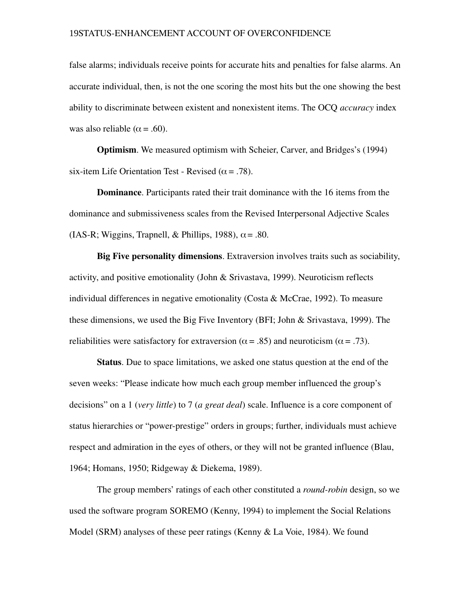false alarms; individuals receive points for accurate hits and penalties for false alarms. An accurate individual, then, is not the one scoring the most hits but the one showing the best ability to discriminate between existent and nonexistent items. The OCQ *accuracy* index was also reliable ( $\alpha$  = .60).

Optimism. We measured optimism with Scheier, Carver, and Bridges's (1994) six-item Life Orientation Test - Revised ( $\alpha$  = .78).

Dominance. Participants rated their trait dominance with the 16 items from the dominance and submissiveness scales from the Revised Interpersonal Adjective Scales (IAS-R; Wiggins, Trapnell, & Phillips, 1988),  $\alpha$  = .80.

Big Five personality dimensions. Extraversion involves traits such as sociability, activity, and positive emotionality (John & Srivastava, 1999). Neuroticism reflects individual differences in negative emotionality (Costa & McCrae, 1992). To measure these dimensions, we used the Big Five Inventory (BFI; John & Srivastava, 1999). The reliabilities were satisfactory for extraversion ( $\alpha$  = .85) and neuroticism ( $\alpha$  = .73).

Status. Due to space limitations, we asked one status question at the end of the seven weeks: "Please indicate how much each group member influenced the group's decisions" on a 1 (*very little*) to 7 (*a great deal*) scale. Influence is a core component of status hierarchies or "power-prestige" orders in groups; further, individuals must achieve respect and admiration in the eyes of others, or they will not be granted influence (Blau, 1964; Homans, 1950; Ridgeway & Diekema, 1989).

The group members' ratings of each other constituted a *roundrobin* design, so we used the software program SOREMO (Kenny, 1994) to implement the Social Relations Model (SRM) analyses of these peer ratings (Kenny & La Voie, 1984). We found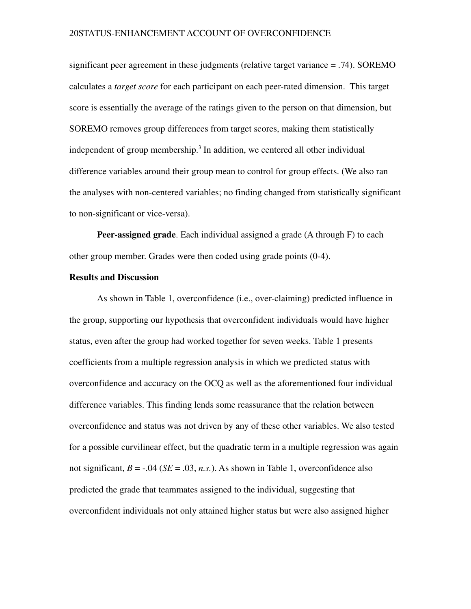significant peer agreement in these judgments (relative target variance = .74). SOREMO calculates a *target score* for each participant on each peerrated dimension. This target score is essentially the average of the ratings given to the person on that dimension, but SOREMO removes group differences from target scores, making them statistically independent of group membership.<sup>3</sup> In addition, we centered all other individual difference variables around their group mean to control for group effects. (We also ran the analyses with non-centered variables; no finding changed from statistically significant to non-significant or vice-versa).

Peer-assigned grade. Each individual assigned a grade (A through F) to each other group member. Grades were then coded using grade points (04).

### Results and Discussion

As shown in Table 1, overconfidence (i.e., overclaiming) predicted influence in the group, supporting our hypothesis that overconfident individuals would have higher status, even after the group had worked together for seven weeks. Table 1 presents coefficients from a multiple regression analysis in which we predicted status with overconfidence and accuracy on the OCQ as well as the aforementioned four individual difference variables. This finding lends some reassurance that the relation between overconfidence and status was not driven by any of these other variables. We also tested for a possible curvilinear effect, but the quadratic term in a multiple regression was again not significant,  $B = -0.04$  ( $SE = 0.03$ , *n.s.*). As shown in Table 1, overconfidence also predicted the grade that teammates assigned to the individual, suggesting that overconfident individuals not only attained higher status but were also assigned higher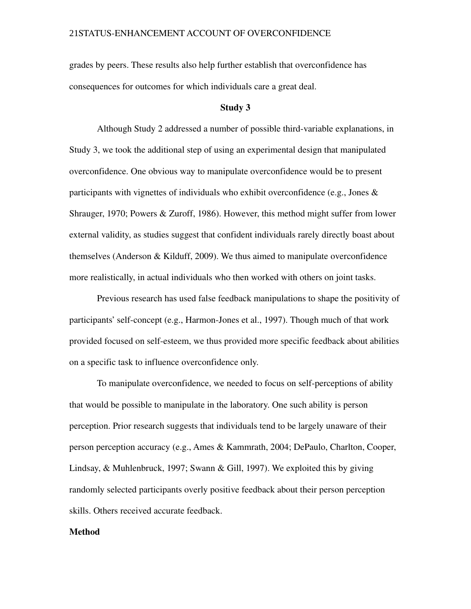grades by peers. These results also help further establish that overconfidence has consequences for outcomes for which individuals care a great deal.

#### Study 3

Although Study 2 addressed a number of possible third-variable explanations, in Study 3, we took the additional step of using an experimental design that manipulated overconfidence. One obvious way to manipulate overconfidence would be to present participants with vignettes of individuals who exhibit overconfidence (e.g., Jones  $\&$ Shrauger, 1970; Powers & Zuroff, 1986). However, this method might suffer from lower external validity, as studies suggest that confident individuals rarely directly boast about themselves (Anderson & Kilduff, 2009). We thus aimed to manipulate overconfidence more realistically, in actual individuals who then worked with others on joint tasks.

Previous research has used false feedback manipulations to shape the positivity of participants' self-concept (e.g., Harmon-Jones et al., 1997). Though much of that work provided focused on self-esteem, we thus provided more specific feedback about abilities on a specific task to influence overconfidence only.

To manipulate overconfidence, we needed to focus on self-perceptions of ability that would be possible to manipulate in the laboratory. One such ability is person perception. Prior research suggests that individuals tend to be largely unaware of their person perception accuracy (e.g., Ames & Kammrath, 2004; DePaulo, Charlton, Cooper, Lindsay, & Muhlenbruck, 1997; Swann & Gill, 1997). We exploited this by giving randomly selected participants overly positive feedback about their person perception skills. Others received accurate feedback.

#### Method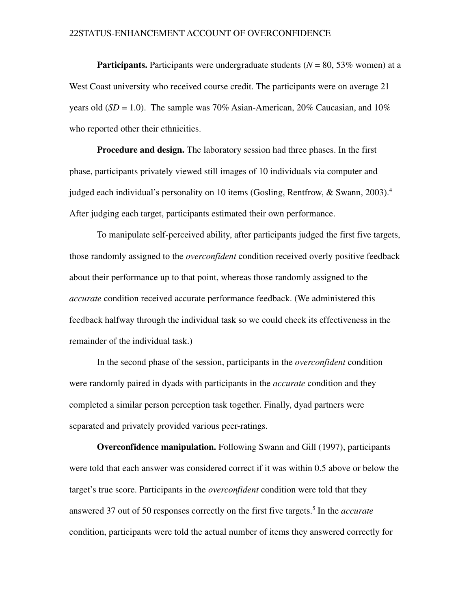**Participants.** Participants were undergraduate students  $(N = 80, 53\%$  women) at a West Coast university who received course credit. The participants were on average 21 years old  $(SD = 1.0)$ . The sample was 70% Asian-American, 20% Caucasian, and 10% who reported other their ethnicities.

**Procedure and design.** The laboratory session had three phases. In the first phase, participants privately viewed still images of 10 individuals via computer and judged each individual's personality on 10 items (Gosling, Rentfrow,  $\&$  Swann, 2003).<sup>4</sup> After judging each target, participants estimated their own performance.

To manipulate self-perceived ability, after participants judged the first five targets, those randomly assigned to the *overconfident* condition received overly positive feedback about their performance up to that point, whereas those randomly assigned to the *accurate* condition received accurate performance feedback. (We administered this feedback halfway through the individual task so we could check its effectiveness in the remainder of the individual task.)

In the second phase of the session, participants in the *overconfident* condition were randomly paired in dyads with participants in the *accurate* condition and they completed a similar person perception task together. Finally, dyad partners were separated and privately provided various peer-ratings.

Overconfidence manipulation. Following Swann and Gill (1997), participants were told that each answer was considered correct if it was within 0.5 above or below the target's true score. Participants in the *overconfident* condition were told that they answered 37 out of 50 responses correctly on the first five targets.<sup>5</sup> In the *accurate* condition, participants were told the actual number of items they answered correctly for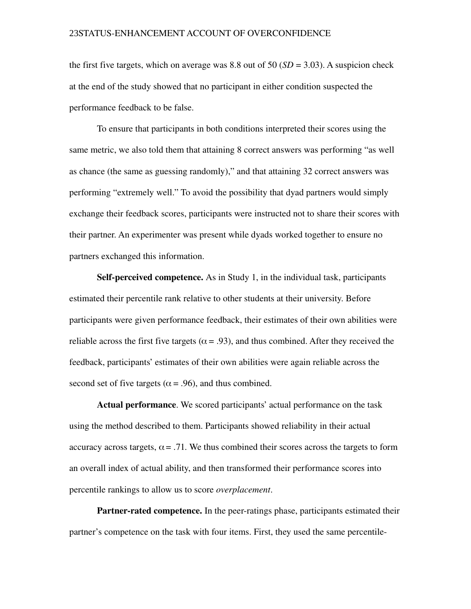the first five targets, which on average was 8.8 out of 50  $(SD = 3.03)$ . A suspicion check at the end of the study showed that no participant in either condition suspected the performance feedback to be false.

To ensure that participants in both conditions interpreted their scores using the same metric, we also told them that attaining 8 correct answers was performing "as well as chance (the same as guessing randomly)," and that attaining 32 correct answers was performing "extremely well." To avoid the possibility that dyad partners would simply exchange their feedback scores, participants were instructed not to share their scores with their partner. An experimenter was present while dyads worked together to ensure no partners exchanged this information.

Self-perceived competence. As in Study 1, in the individual task, participants estimated their percentile rank relative to other students at their university. Before participants were given performance feedback, their estimates of their own abilities were reliable across the first five targets ( $\alpha$  = .93), and thus combined. After they received the feedback, participants' estimates of their own abilities were again reliable across the second set of five targets ( $\alpha$  = .96), and thus combined.

Actual performance. We scored participants' actual performance on the task using the method described to them. Participants showed reliability in their actual accuracy across targets,  $\alpha = .71$ . We thus combined their scores across the targets to form an overall index of actual ability, and then transformed their performance scores into percentile rankings to allow us to score *overplacement*.

**Partner-rated competence.** In the peer-ratings phase, participants estimated their partner's competence on the task with four items. First, they used the same percentile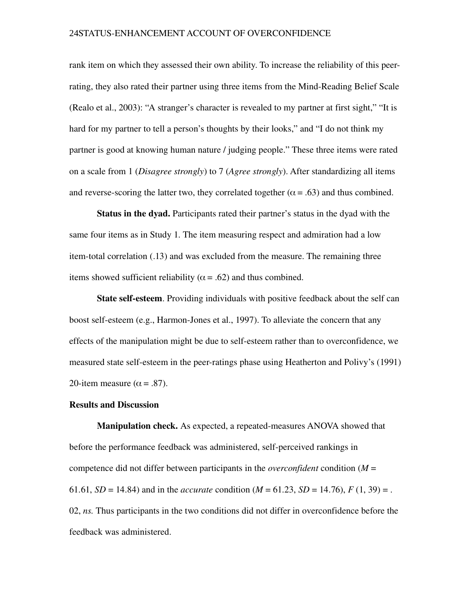rank item on which they assessed their own ability. To increase the reliability of this peerrating, they also rated their partner using three items from the Mind-Reading Belief Scale (Realo et al., 2003): "A stranger's character is revealed to my partner at first sight," "It is hard for my partner to tell a person's thoughts by their looks," and "I do not think my partner is good at knowing human nature / judging people." These three items were rated on a scale from 1 (*Disagree strongly*) to 7 (*Agree strongly*). After standardizing all items and reverse-scoring the latter two, they correlated together ( $\alpha$  = .63) and thus combined.

Status in the dyad. Participants rated their partner's status in the dyad with the same four items as in Study 1. The item measuring respect and admiration had a low item-total correlation (.13) and was excluded from the measure. The remaining three items showed sufficient reliability ( $\alpha$  = .62) and thus combined.

**State self-esteem.** Providing individuals with positive feedback about the self can boost self-esteem (e.g., Harmon-Jones et al., 1997). To alleviate the concern that any effects of the manipulation might be due to self-esteem rather than to overconfidence, we measured state self-esteem in the peer-ratings phase using Heatherton and Polivy's (1991) 20-item measure ( $\alpha$  = .87).

#### Results and Discussion

**Manipulation check.** As expected, a repeated-measures ANOVA showed that before the performance feedback was administered, self-perceived rankings in competence did not differ between participants in the *overconfident* condition (*M* = 61.61,  $SD = 14.84$ ) and in the *accurate* condition ( $M = 61.23$ ,  $SD = 14.76$ ),  $F(1, 39) =$ . 02, *ns.* Thus participants in the two conditions did not differ in overconfidence before the feedback was administered.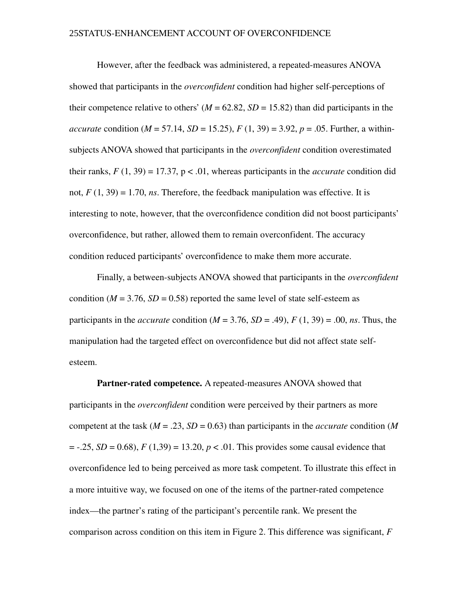However, after the feedback was administered, a repeated-measures ANOVA showed that participants in the *overconfident* condition had higher self-perceptions of their competence relative to others'  $(M = 62.82, SD = 15.82)$  than did participants in the *accurate* condition ( $M = 57.14$ ,  $SD = 15.25$ ),  $F(1, 39) = 3.92$ ,  $p = .05$ . Further, a withinsubjects ANOVA showed that participants in the *overconfident* condition overestimated their ranks,  $F(1, 39) = 17.37$ ,  $p < .01$ , whereas participants in the *accurate* condition did not,  $F(1, 39) = 1.70$ , *ns*. Therefore, the feedback manipulation was effective. It is interesting to note, however, that the overconfidence condition did not boost participants' overconfidence, but rather, allowed them to remain overconfident. The accuracy condition reduced participants' overconfidence to make them more accurate.

Finally, a between-subjects ANOVA showed that participants in the *overconfident* condition ( $M = 3.76$ ,  $SD = 0.58$ ) reported the same level of state self-esteem as participants in the *accurate* condition ( $M = 3.76$ ,  $SD = .49$ ),  $F(1, 39) = .00$ , *ns*. Thus, the manipulation had the targeted effect on overconfidence but did not affect state selfesteem.

Partner-rated competence. A repeated-measures ANOVA showed that participants in the *overconfident* condition were perceived by their partners as more competent at the task (*M* = .23, *SD* = 0.63) than participants in the *accurate* condition (*M*  $= -0.25$ , *SD* = 0.68), *F* (1,39) = 13.20, *p* < .01. This provides some causal evidence that overconfidence led to being perceived as more task competent. To illustrate this effect in a more intuitive way, we focused on one of the items of the partner-rated competence index—the partner's rating of the participant's percentile rank. We present the comparison across condition on this item in Figure 2. This difference was significant, *F*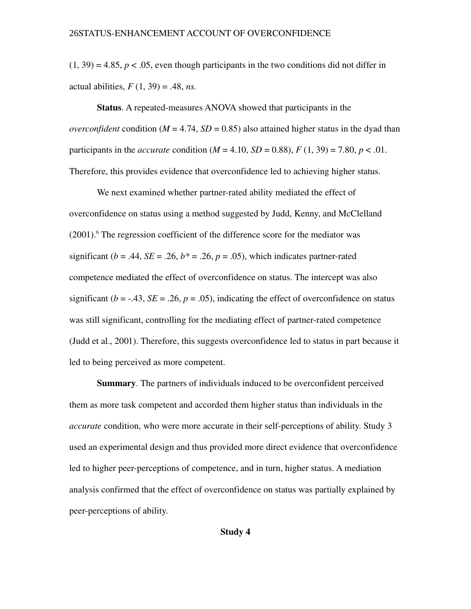$(1, 39) = 4.85$ ,  $p < .05$ , even though participants in the two conditions did not differ in actual abilities, *F* (1, 39) = .48, *ns.* 

Status. A repeated-measures ANOVA showed that participants in the *overconfident* condition ( $M = 4.74$ ,  $SD = 0.85$ ) also attained higher status in the dyad than participants in the *accurate* condition  $(M = 4.10, SD = 0.88)$ ,  $F(1, 39) = 7.80, p < .01$ . Therefore, this provides evidence that overconfidence led to achieving higher status.

We next examined whether partner-rated ability mediated the effect of overconfidence on status using a method suggested by Judd, Kenny, and McClelland (2001).<sup>6</sup> The regression coefficient of the difference score for the mediator was significant ( $b = .44$ ,  $SE = .26$ ,  $b^* = .26$ ,  $p = .05$ ), which indicates partner-rated competence mediated the effect of overconfidence on status. The intercept was also significant ( $b = -0.43$ ,  $SE = 0.26$ ,  $p = 0.05$ ), indicating the effect of overconfidence on status was still significant, controlling for the mediating effect of partner-rated competence (Judd et al., 2001). Therefore, this suggests overconfidence led to status in part because it led to being perceived as more competent.

Summary. The partners of individuals induced to be overconfident perceived them as more task competent and accorded them higher status than individuals in the *accurate* condition, who were more accurate in their self-perceptions of ability. Study 3 used an experimental design and thus provided more direct evidence that overconfidence led to higher peer-perceptions of competence, and in turn, higher status. A mediation analysis confirmed that the effect of overconfidence on status was partially explained by peer-perceptions of ability.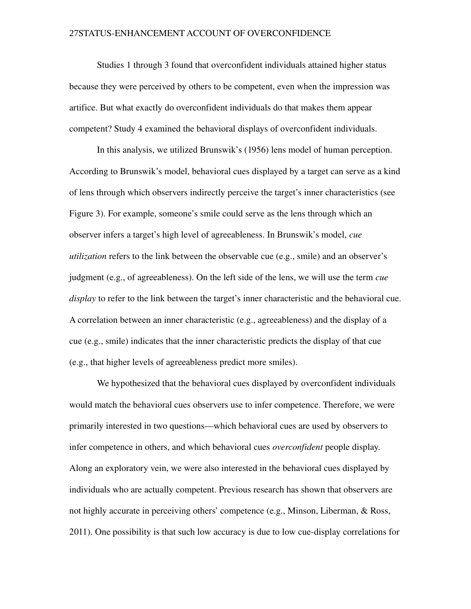Studies 1 through 3 found that overconfident individuals attained higher status because they were perceived by others to be competent, even when the impression was artifice. But what exactly do overconfident individuals do that makes them appear competent? Study 4 examined the behavioral displays of overconfident individuals.

In this analysis, we utilized Brunswik's (1956) lens model of human perception. According to Brunswik's model, behavioral cues displayed by a target can serve as a kind of lens through which observers indirectly perceive the target's inner characteristics (see Figure 3). For example, someone's smile could serve as the lens through which an observer infers a target's high level of agreeableness. In Brunswik's model, *cue utilization* refers to the link between the observable cue (e.g., smile) and an observer's judgment (e.g., of agreeableness). On the left side of the lens, we will use the term *cue display* to refer to the link between the target's inner characteristic and the behavioral cue. A correlation between an inner characteristic (e.g., agreeableness) and the display of a cue (e.g., smile) indicates that the inner characteristic predicts the display of that cue (e.g., that higher levels of agreeableness predict more smiles).

We hypothesized that the behavioral cues displayed by overconfident individuals would match the behavioral cues observers use to infer competence. Therefore, we were primarily interested in two questions—which behavioral cues are used by observers to infer competence in others, and which behavioral cues *overconfident* people display. Along an exploratory vein, we were also interested in the behavioral cues displayed by individuals who are actually competent. Previous research has shown that observers are not highly accurate in perceiving others' competence (e.g., Minson, Liberman, & Ross, 2011). One possibility is that such low accuracy is due to low cue-display correlations for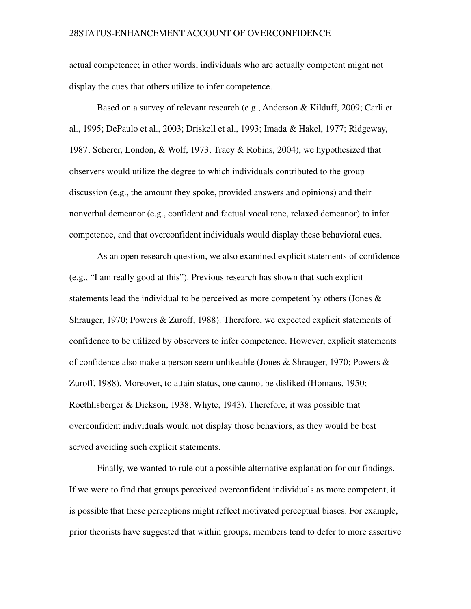actual competence; in other words, individuals who are actually competent might not display the cues that others utilize to infer competence.

Based on a survey of relevant research (e.g., Anderson & Kilduff, 2009; Carli et al., 1995; DePaulo et al., 2003; Driskell et al., 1993; Imada & Hakel, 1977; Ridgeway, 1987; Scherer, London, & Wolf, 1973; Tracy & Robins, 2004), we hypothesized that observers would utilize the degree to which individuals contributed to the group discussion (e.g., the amount they spoke, provided answers and opinions) and their nonverbal demeanor (e.g., confident and factual vocal tone, relaxed demeanor) to infer competence, and that overconfident individuals would display these behavioral cues.

As an open research question, we also examined explicit statements of confidence (e.g., "I am really good at this"). Previous research has shown that such explicit statements lead the individual to be perceived as more competent by others (Jones  $\&$ Shrauger, 1970; Powers & Zuroff, 1988). Therefore, we expected explicit statements of confidence to be utilized by observers to infer competence. However, explicit statements of confidence also make a person seem unlikeable (Jones & Shrauger, 1970; Powers & Zuroff, 1988). Moreover, to attain status, one cannot be disliked (Homans, 1950; Roethlisberger & Dickson, 1938; Whyte, 1943). Therefore, it was possible that overconfident individuals would not display those behaviors, as they would be best served avoiding such explicit statements.

Finally, we wanted to rule out a possible alternative explanation for our findings. If we were to find that groups perceived overconfident individuals as more competent, it is possible that these perceptions might reflect motivated perceptual biases. For example, prior theorists have suggested that within groups, members tend to defer to more assertive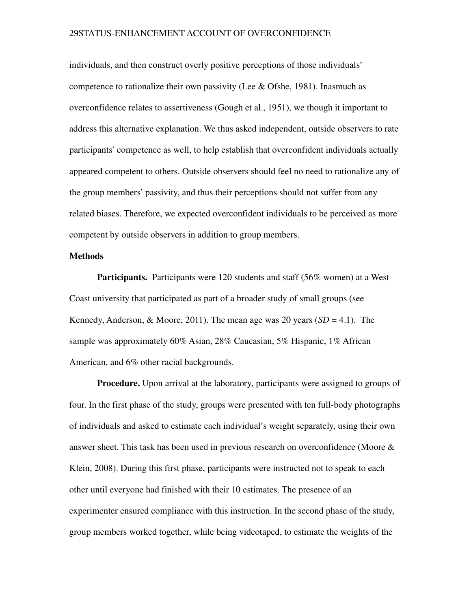individuals, and then construct overly positive perceptions of those individuals' competence to rationalize their own passivity (Lee & Ofshe, 1981). Inasmuch as overconfidence relates to assertiveness (Gough et al., 1951), we though it important to address this alternative explanation. We thus asked independent, outside observers to rate participants' competence as well, to help establish that overconfident individuals actually appeared competent to others. Outside observers should feel no need to rationalize any of the group members' passivity, and thus their perceptions should not suffer from any related biases. Therefore, we expected overconfident individuals to be perceived as more competent by outside observers in addition to group members.

#### Methods

Participants. Participants were 120 students and staff (56% women) at a West Coast university that participated as part of a broader study of small groups (see Kennedy, Anderson, & Moore, 2011). The mean age was 20 years  $(SD = 4.1)$ . The sample was approximately 60% Asian, 28% Caucasian, 5% Hispanic, 1% African American, and 6% other racial backgrounds.

**Procedure.** Upon arrival at the laboratory, participants were assigned to groups of four. In the first phase of the study, groups were presented with ten full-body photographs of individuals and asked to estimate each individual's weight separately, using their own answer sheet. This task has been used in previous research on overconfidence (Moore & Klein, 2008). During this first phase, participants were instructed not to speak to each other until everyone had finished with their 10 estimates. The presence of an experimenter ensured compliance with this instruction. In the second phase of the study, group members worked together, while being videotaped, to estimate the weights of the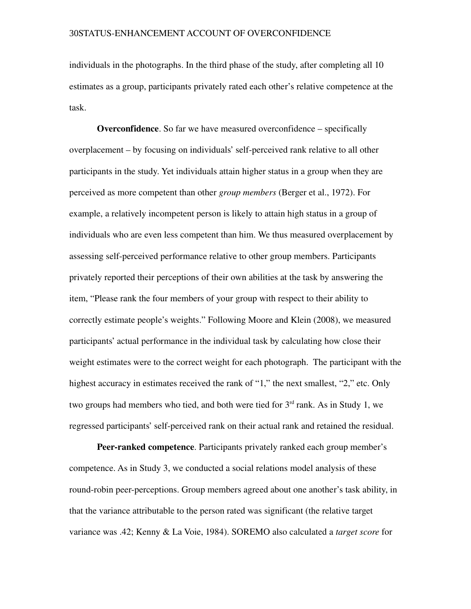individuals in the photographs. In the third phase of the study, after completing all 10 estimates as a group, participants privately rated each other's relative competence at the task.

Overconfidence. So far we have measured overconfidence – specifically overplacement – by focusing on individuals' self-perceived rank relative to all other participants in the study. Yet individuals attain higher status in a group when they are perceived as more competent than other *group members* (Berger et al., 1972). For example, a relatively incompetent person is likely to attain high status in a group of individuals who are even less competent than him. We thus measured overplacement by assessing self-perceived performance relative to other group members. Participants privately reported their perceptions of their own abilities at the task by answering the item, "Please rank the four members of your group with respect to their ability to correctly estimate people's weights." Following Moore and Klein (2008), we measured participants' actual performance in the individual task by calculating how close their weight estimates were to the correct weight for each photograph. The participant with the highest accuracy in estimates received the rank of "1," the next smallest, "2," etc. Only two groups had members who tied, and both were tied for  $3<sup>rd</sup>$  rank. As in Study 1, we regressed participants' self-perceived rank on their actual rank and retained the residual.

**Peer-ranked competence**. Participants privately ranked each group member's competence. As in Study 3, we conducted a social relations model analysis of these round-robin peer-perceptions. Group members agreed about one another's task ability, in that the variance attributable to the person rated was significant (the relative target variance was .42; Kenny & La Voie, 1984). SOREMO also calculated a *target score* for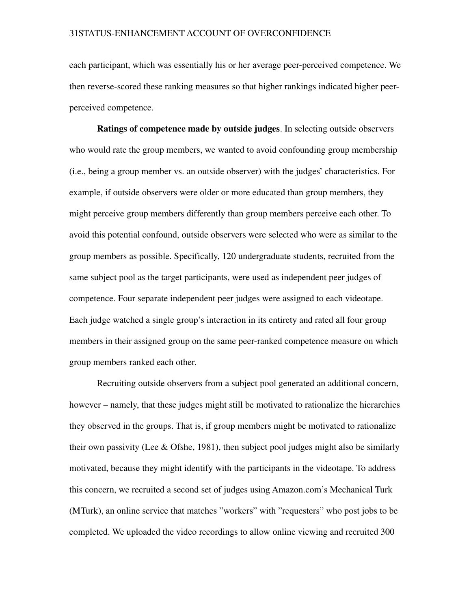each participant, which was essentially his or her average peer-perceived competence. We then reverse-scored these ranking measures so that higher rankings indicated higher peerperceived competence.

Ratings of competence made by outside judges. In selecting outside observers who would rate the group members, we wanted to avoid confounding group membership (i.e., being a group member vs. an outside observer) with the judges' characteristics. For example, if outside observers were older or more educated than group members, they might perceive group members differently than group members perceive each other. To avoid this potential confound, outside observers were selected who were as similar to the group members as possible. Specifically, 120 undergraduate students, recruited from the same subject pool as the target participants, were used as independent peer judges of competence. Four separate independent peer judges were assigned to each videotape. Each judge watched a single group's interaction in its entirety and rated all four group members in their assigned group on the same peer-ranked competence measure on which group members ranked each other.

Recruiting outside observers from a subject pool generated an additional concern, however – namely, that these judges might still be motivated to rationalize the hierarchies they observed in the groups. That is, if group members might be motivated to rationalize their own passivity (Lee  $\&$  Ofshe, 1981), then subject pool judges might also be similarly motivated, because they might identify with the participants in the videotape. To address this concern, we recruited a second set of judges using Amazon.com's Mechanical Turk (MTurk), an online service that matches "workers" with "requesters" who post jobs to be completed. We uploaded the video recordings to allow online viewing and recruited 300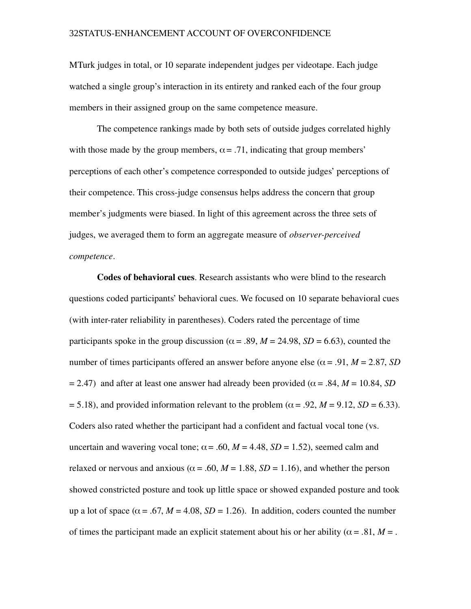MTurk judges in total, or 10 separate independent judges per videotape. Each judge watched a single group's interaction in its entirety and ranked each of the four group members in their assigned group on the same competence measure.

The competence rankings made by both sets of outside judges correlated highly with those made by the group members,  $\alpha = .71$ , indicating that group members' perceptions of each other's competence corresponded to outside judges' perceptions of their competence. This cross-judge consensus helps address the concern that group member's judgments were biased. In light of this agreement across the three sets of judges, we averaged them to form an aggregate measure of *observer-perceived competence*.

Codes of behavioral cues. Research assistants who were blind to the research questions coded participants' behavioral cues. We focused on 10 separate behavioral cues (with inter-rater reliability in parentheses). Coders rated the percentage of time participants spoke in the group discussion ( $\alpha$  = .89,  $M$  = 24.98,  $SD$  = 6.63), counted the number of times participants offered an answer before anyone else ( $\alpha$  = .91,  $M$  = 2.87, *SD*  $= 2.47$ ) and after at least one answer had already been provided ( $\alpha = .84$ ,  $M = 10.84$ , *SD*  $= 5.18$ ), and provided information relevant to the problem ( $\alpha = .92$ ,  $M = 9.12$ ,  $SD = 6.33$ ). Coders also rated whether the participant had a confident and factual vocal tone (vs. uncertain and wavering vocal tone;  $\alpha$  = .60,  $M$  = 4.48,  $SD$  = 1.52), seemed calm and relaxed or nervous and anxious ( $\alpha$  = .60, *M* = 1.88, *SD* = 1.16), and whether the person showed constricted posture and took up little space or showed expanded posture and took up a lot of space ( $\alpha$  = .67, *M* = 4.08, *SD* = 1.26). In addition, coders counted the number of times the participant made an explicit statement about his or her ability ( $\alpha = .81$ ,  $M = .$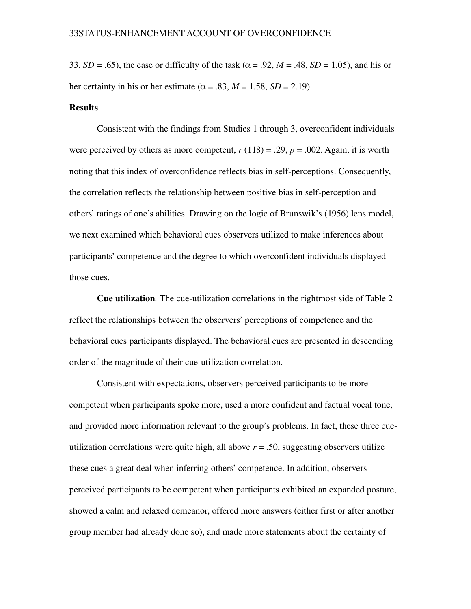33,  $SD = .65$ ), the ease or difficulty of the task ( $\alpha = .92$ ,  $M = .48$ ,  $SD = 1.05$ ), and his or her certainty in his or her estimate ( $\alpha$  = .83,  $M$  = 1.58,  $SD$  = 2.19).

# **Results**

Consistent with the findings from Studies 1 through 3, overconfident individuals were perceived by others as more competent,  $r(118) = .29$ ,  $p = .002$ . Again, it is worth noting that this index of overconfidence reflects bias in self-perceptions. Consequently, the correlation reflects the relationship between positive bias in self-perception and others' ratings of one's abilities. Drawing on the logic of Brunswik's (1956) lens model, we next examined which behavioral cues observers utilized to make inferences about participants' competence and the degree to which overconfident individuals displayed those cues.

**Cue utilization.** The cue-utilization correlations in the rightmost side of Table 2 reflect the relationships between the observers' perceptions of competence and the behavioral cues participants displayed. The behavioral cues are presented in descending order of the magnitude of their cue-utilization correlation.

Consistent with expectations, observers perceived participants to be more competent when participants spoke more, used a more confident and factual vocal tone, and provided more information relevant to the group's problems. In fact, these three cueutilization correlations were quite high, all above  $r = 0.50$ , suggesting observers utilize these cues a great deal when inferring others' competence. In addition, observers perceived participants to be competent when participants exhibited an expanded posture, showed a calm and relaxed demeanor, offered more answers (either first or after another group member had already done so), and made more statements about the certainty of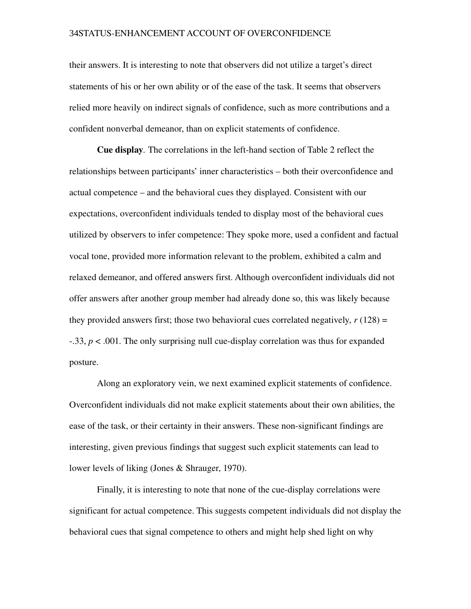their answers. It is interesting to note that observers did not utilize a target's direct statements of his or her own ability or of the ease of the task. It seems that observers relied more heavily on indirect signals of confidence, such as more contributions and a confident nonverbal demeanor, than on explicit statements of confidence.

Cue display*.* The correlations in the lefthand section of Table 2 reflect the relationships between participants' inner characteristics – both their overconfidence and actual competence – and the behavioral cues they displayed. Consistent with our expectations, overconfident individuals tended to display most of the behavioral cues utilized by observers to infer competence: They spoke more, used a confident and factual vocal tone, provided more information relevant to the problem, exhibited a calm and relaxed demeanor, and offered answers first. Although overconfident individuals did not offer answers after another group member had already done so, this was likely because they provided answers first; those two behavioral cues correlated negatively,  $r(128) =$  $-33$ ,  $p < .001$ . The only surprising null cue-display correlation was thus for expanded posture.

Along an exploratory vein, we next examined explicit statements of confidence. Overconfident individuals did not make explicit statements about their own abilities, the ease of the task, or their certainty in their answers. These nonsignificant findings are interesting, given previous findings that suggest such explicit statements can lead to lower levels of liking (Jones & Shrauger, 1970).

Finally, it is interesting to note that none of the cue-display correlations were significant for actual competence. This suggests competent individuals did not display the behavioral cues that signal competence to others and might help shed light on why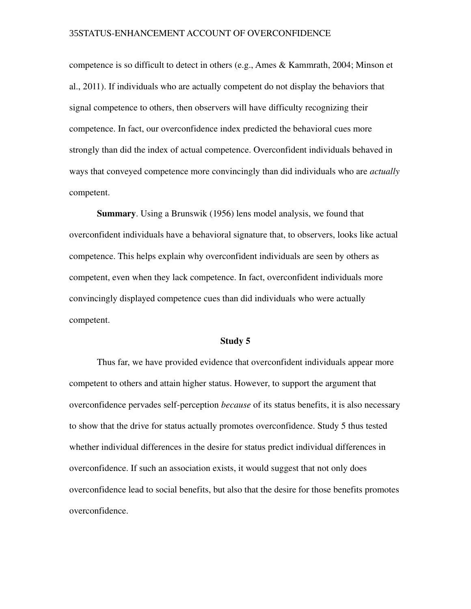competence is so difficult to detect in others (e.g., Ames & Kammrath, 2004; Minson et al., 2011). If individuals who are actually competent do not display the behaviors that signal competence to others, then observers will have difficulty recognizing their competence. In fact, our overconfidence index predicted the behavioral cues more strongly than did the index of actual competence. Overconfident individuals behaved in ways that conveyed competence more convincingly than did individuals who are *actually* competent.

Summary. Using a Brunswik (1956) lens model analysis, we found that overconfident individuals have a behavioral signature that, to observers, looks like actual competence. This helps explain why overconfident individuals are seen by others as competent, even when they lack competence. In fact, overconfident individuals more convincingly displayed competence cues than did individuals who were actually competent.

#### Study 5

Thus far, we have provided evidence that overconfident individuals appear more competent to others and attain higher status. However, to support the argument that overconfidence pervades self-perception *because* of its status benefits, it is also necessary to show that the drive for status actually promotes overconfidence. Study 5 thus tested whether individual differences in the desire for status predict individual differences in overconfidence. If such an association exists, it would suggest that not only does overconfidence lead to social benefits, but also that the desire for those benefits promotes overconfidence.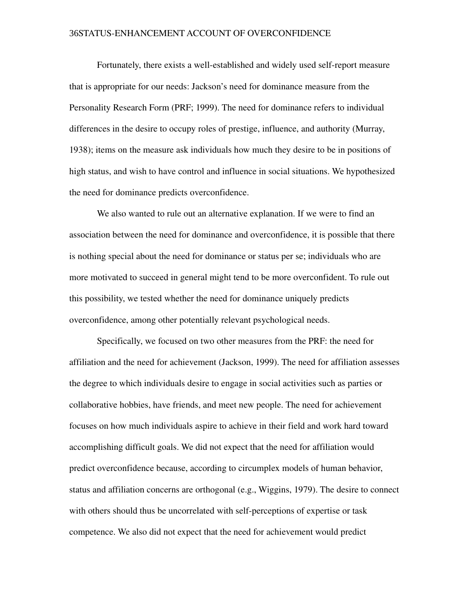Fortunately, there exists a well-established and widely used self-report measure that is appropriate for our needs: Jackson's need for dominance measure from the Personality Research Form (PRF; 1999). The need for dominance refers to individual differences in the desire to occupy roles of prestige, influence, and authority (Murray, 1938); items on the measure ask individuals how much they desire to be in positions of high status, and wish to have control and influence in social situations. We hypothesized the need for dominance predicts overconfidence.

We also wanted to rule out an alternative explanation. If we were to find an association between the need for dominance and overconfidence, it is possible that there is nothing special about the need for dominance or status per se; individuals who are more motivated to succeed in general might tend to be more overconfident. To rule out this possibility, we tested whether the need for dominance uniquely predicts overconfidence, among other potentially relevant psychological needs.

Specifically, we focused on two other measures from the PRF: the need for affiliation and the need for achievement (Jackson, 1999). The need for affiliation assesses the degree to which individuals desire to engage in social activities such as parties or collaborative hobbies, have friends, and meet new people. The need for achievement focuses on how much individuals aspire to achieve in their field and work hard toward accomplishing difficult goals. We did not expect that the need for affiliation would predict overconfidence because, according to circumplex models of human behavior, status and affiliation concerns are orthogonal (e.g., Wiggins, 1979). The desire to connect with others should thus be uncorrelated with self-perceptions of expertise or task competence. We also did not expect that the need for achievement would predict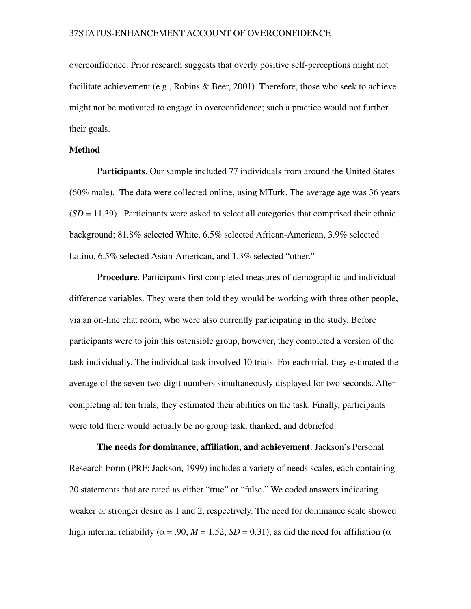overconfidence. Prior research suggests that overly positive self-perceptions might not facilitate achievement (e.g., Robins & Beer, 2001). Therefore, those who seek to achieve might not be motivated to engage in overconfidence; such a practice would not further their goals.

# Method

Participants. Our sample included 77 individuals from around the United States (60% male). The data were collected online, using MTurk. The average age was 36 years  $(SD = 11.39)$ . Participants were asked to select all categories that comprised their ethnic background; 81.8% selected White, 6.5% selected African-American, 3.9% selected Latino, 6.5% selected Asian-American, and 1.3% selected "other."

Procedure. Participants first completed measures of demographic and individual difference variables. They were then told they would be working with three other people, via an on-line chat room, who were also currently participating in the study. Before participants were to join this ostensible group, however, they completed a version of the task individually. The individual task involved 10 trials. For each trial, they estimated the average of the seven two-digit numbers simultaneously displayed for two seconds. After completing all ten trials, they estimated their abilities on the task. Finally, participants were told there would actually be no group task, thanked, and debriefed.

The needs for dominance, affiliation, and achievement. Jackson's Personal Research Form (PRF; Jackson, 1999) includes a variety of needs scales, each containing 20 statements that are rated as either "true" or "false." We coded answers indicating weaker or stronger desire as 1 and 2, respectively. The need for dominance scale showed high internal reliability ( $\alpha$  = .90,  $M = 1.52$ ,  $SD = 0.31$ ), as did the need for affiliation ( $\alpha$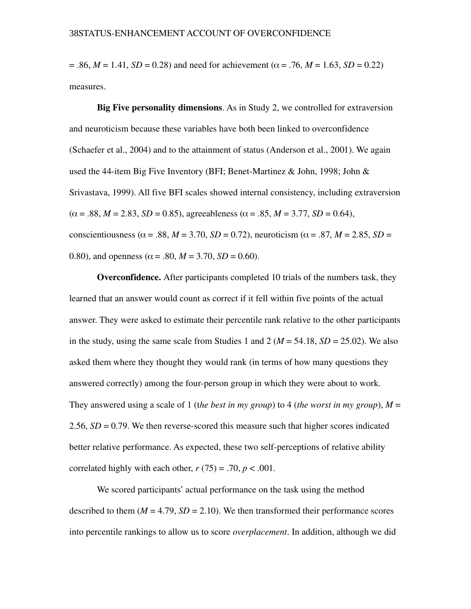$= .86, M = 1.41, SD = 0.28$  and need for achievement ( $\alpha = .76, M = 1.63, SD = 0.22$ ) measures.

Big Five personality dimensions. As in Study 2, we controlled for extraversion and neuroticism because these variables have both been linked to overconfidence (Schaefer et al., 2004) and to the attainment of status (Anderson et al., 2001). We again used the 44-item Big Five Inventory (BFI; Benet-Martinez & John, 1998; John & Srivastava, 1999). All five BFI scales showed internal consistency, including extraversion  $(\alpha = .88, M = 2.83, SD = 0.85)$ , agreeableness ( $\alpha = .85, M = 3.77, SD = 0.64$ ), conscientiousness ( $\alpha$  = .88,  $M$  = 3.70,  $SD$  = 0.72), neuroticism ( $\alpha$  = .87,  $M$  = 2.85,  $SD$  = 0.80), and openness ( $\alpha$  = .80,  $M$  = 3.70,  $SD$  = 0.60).

Overconfidence. After participants completed 10 trials of the numbers task, they learned that an answer would count as correct if it fell within five points of the actual answer. They were asked to estimate their percentile rank relative to the other participants in the study, using the same scale from Studies 1 and 2 ( $M = 54.18$ ,  $SD = 25.02$ ). We also asked them where they thought they would rank (in terms of how many questions they answered correctly) among the four-person group in which they were about to work. They answered using a scale of 1 (t*he best in my group*) to 4 (*the worst in my group*), *M* = 2.56,  $SD = 0.79$ . We then reverse-scored this measure such that higher scores indicated better relative performance. As expected, these two self-perceptions of relative ability correlated highly with each other,  $r(75) = .70$ ,  $p < .001$ .

We scored participants' actual performance on the task using the method described to them  $(M = 4.79, SD = 2.10)$ . We then transformed their performance scores into percentile rankings to allow us to score *overplacement*. In addition, although we did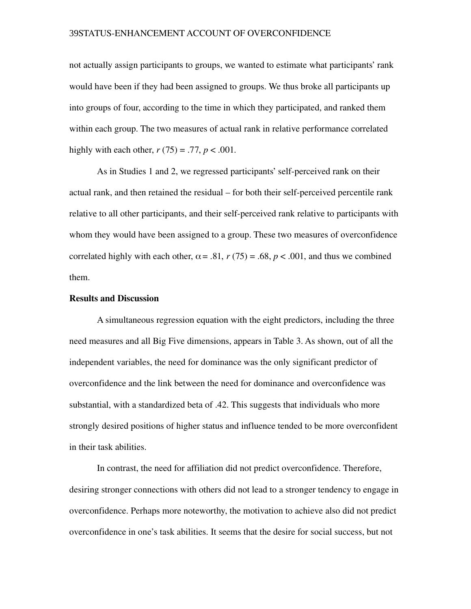not actually assign participants to groups, we wanted to estimate what participants' rank would have been if they had been assigned to groups. We thus broke all participants up into groups of four, according to the time in which they participated, and ranked them within each group. The two measures of actual rank in relative performance correlated highly with each other,  $r(75) = .77$ ,  $p < .001$ .

As in Studies 1 and 2, we regressed participants' self-perceived rank on their actual rank, and then retained the residual – for both their self-perceived percentile rank relative to all other participants, and their self-perceived rank relative to participants with whom they would have been assigned to a group. These two measures of overconfidence correlated highly with each other,  $\alpha$  = .81,  $r(75)$  = .68,  $p < .001$ , and thus we combined them.

#### Results and Discussion

A simultaneous regression equation with the eight predictors, including the three need measures and all Big Five dimensions, appears in Table 3. As shown, out of all the independent variables, the need for dominance was the only significant predictor of overconfidence and the link between the need for dominance and overconfidence was substantial, with a standardized beta of .42. This suggests that individuals who more strongly desired positions of higher status and influence tended to be more overconfident in their task abilities.

In contrast, the need for affiliation did not predict overconfidence. Therefore, desiring stronger connections with others did not lead to a stronger tendency to engage in overconfidence. Perhaps more noteworthy, the motivation to achieve also did not predict overconfidence in one's task abilities. It seems that the desire for social success, but not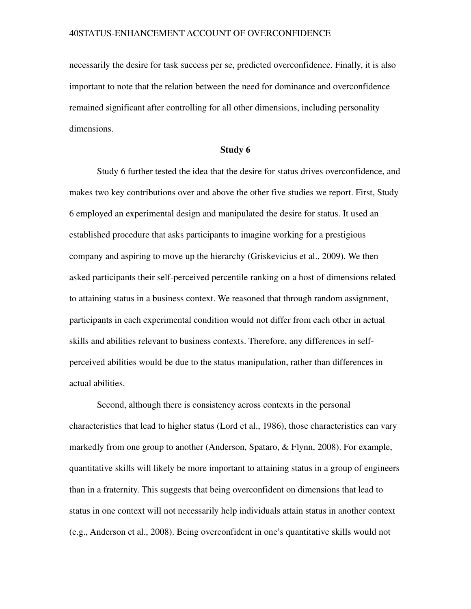necessarily the desire for task success per se, predicted overconfidence. Finally, it is also important to note that the relation between the need for dominance and overconfidence remained significant after controlling for all other dimensions, including personality dimensions.

# Study 6

Study 6 further tested the idea that the desire for status drives overconfidence, and makes two key contributions over and above the other five studies we report. First, Study 6 employed an experimental design and manipulated the desire for status. It used an established procedure that asks participants to imagine working for a prestigious company and aspiring to move up the hierarchy (Griskevicius et al., 2009). We then asked participants their self-perceived percentile ranking on a host of dimensions related to attaining status in a business context. We reasoned that through random assignment, participants in each experimental condition would not differ from each other in actual skills and abilities relevant to business contexts. Therefore, any differences in selfperceived abilities would be due to the status manipulation, rather than differences in actual abilities.

Second, although there is consistency across contexts in the personal characteristics that lead to higher status (Lord et al., 1986), those characteristics can vary markedly from one group to another (Anderson, Spataro, & Flynn, 2008). For example, quantitative skills will likely be more important to attaining status in a group of engineers than in a fraternity. This suggests that being overconfident on dimensions that lead to status in one context will not necessarily help individuals attain status in another context (e.g., Anderson et al., 2008). Being overconfident in one's quantitative skills would not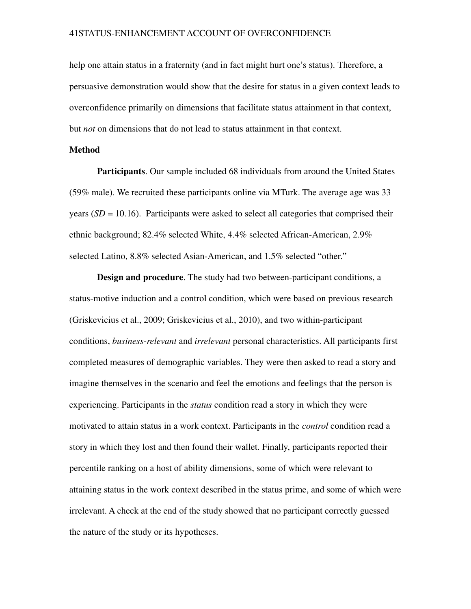help one attain status in a fraternity (and in fact might hurt one's status). Therefore, a persuasive demonstration would show that the desire for status in a given context leads to overconfidence primarily on dimensions that facilitate status attainment in that context, but *not* on dimensions that do not lead to status attainment in that context.

#### Method

Participants. Our sample included 68 individuals from around the United States (59% male). We recruited these participants online via MTurk. The average age was 33 years  $(SD = 10.16)$ . Participants were asked to select all categories that comprised their ethnic background; 82.4% selected White, 4.4% selected African-American,  $2.9\%$ selected Latino, 8.8% selected Asian-American, and 1.5% selected "other."

Design and procedure. The study had two between-participant conditions, a status-motive induction and a control condition, which were based on previous research (Griskevicius et al., 2009; Griskevicius et al., 2010), and two withinparticipant conditions, *business-relevant* and *irrelevant* personal characteristics. All participants first completed measures of demographic variables. They were then asked to read a story and imagine themselves in the scenario and feel the emotions and feelings that the person is experiencing. Participants in the *status* condition read a story in which they were motivated to attain status in a work context. Participants in the *control* condition read a story in which they lost and then found their wallet. Finally, participants reported their percentile ranking on a host of ability dimensions, some of which were relevant to attaining status in the work context described in the status prime, and some of which were irrelevant. A check at the end of the study showed that no participant correctly guessed the nature of the study or its hypotheses.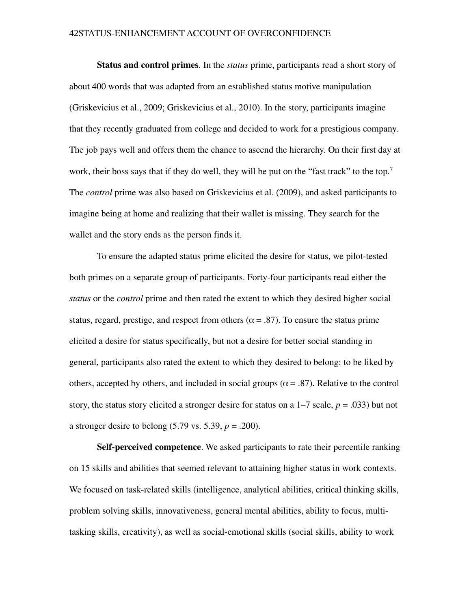Status and control primes. In the *status* prime, participants read a short story of about 400 words that was adapted from an established status motive manipulation (Griskevicius et al., 2009; Griskevicius et al., 2010). In the story, participants imagine that they recently graduated from college and decided to work for a prestigious company. The job pays well and offers them the chance to ascend the hierarchy. On their first day at work, their boss says that if they do well, they will be put on the "fast track" to the top.<sup>7</sup> The *control* prime was also based on Griskevicius et al. (2009), and asked participants to imagine being at home and realizing that their wallet is missing. They search for the wallet and the story ends as the person finds it.

To ensure the adapted status prime elicited the desire for status, we pilot-tested both primes on a separate group of participants. Forty-four participants read either the *status* or the *control* prime and then rated the extent to which they desired higher social status, regard, prestige, and respect from others ( $\alpha = .87$ ). To ensure the status prime elicited a desire for status specifically, but not a desire for better social standing in general, participants also rated the extent to which they desired to belong: to be liked by others, accepted by others, and included in social groups ( $\alpha$  = .87). Relative to the control story, the status story elicited a stronger desire for status on a  $1-7$  scale,  $p = .033$ ) but not a stronger desire to belong (5.79 vs. 5.39, *p* = .200).

Self-perceived competence. We asked participants to rate their percentile ranking on 15 skills and abilities that seemed relevant to attaining higher status in work contexts. We focused on task-related skills (intelligence, analytical abilities, critical thinking skills, problem solving skills, innovativeness, general mental abilities, ability to focus, multitasking skills, creativity), as well as social-emotional skills (social skills, ability to work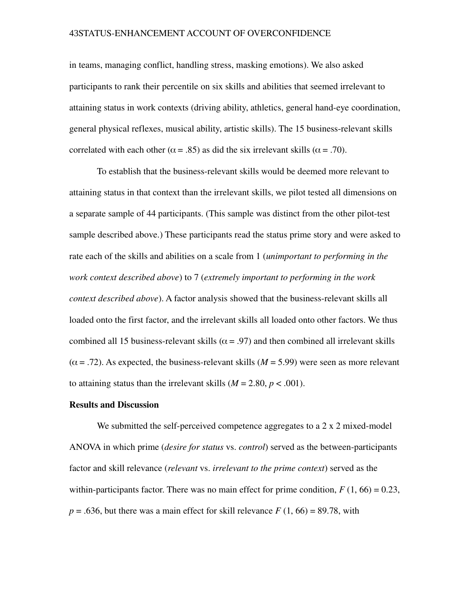in teams, managing conflict, handling stress, masking emotions). We also asked participants to rank their percentile on six skills and abilities that seemed irrelevant to attaining status in work contexts (driving ability, athletics, general handeye coordination, general physical reflexes, musical ability, artistic skills). The 15 business-relevant skills correlated with each other ( $\alpha = .85$ ) as did the six irrelevant skills ( $\alpha = .70$ ).

To establish that the business-relevant skills would be deemed more relevant to attaining status in that context than the irrelevant skills, we pilot tested all dimensions on a separate sample of 44 participants. (This sample was distinct from the other pilot-test sample described above.) These participants read the status prime story and were asked to rate each of the skills and abilities on a scale from 1 (*unimportant to performing in the work context described above*) to 7 (*extremely important to performing in the work context described above*). A factor analysis showed that the business-relevant skills all loaded onto the first factor, and the irrelevant skills all loaded onto other factors. We thus combined all 15 business-relevant skills ( $\alpha$  = .97) and then combined all irrelevant skills  $(\alpha = .72)$ . As expected, the business-relevant skills ( $M = 5.99$ ) were seen as more relevant to attaining status than the irrelevant skills  $(M = 2.80, p < .001)$ .

#### Results and Discussion

We submitted the self-perceived competence aggregates to a  $2 \times 2$  mixed-model ANOVA in which prime *(desire for status* vs. *control)* served as the between-participants factor and skill relevance (*relevant* vs. *irrelevant to the prime context*) served as the within-participants factor. There was no main effect for prime condition,  $F(1, 66) = 0.23$ ,  $p = 0.636$ , but there was a main effect for skill relevance  $F(1, 66) = 89.78$ , with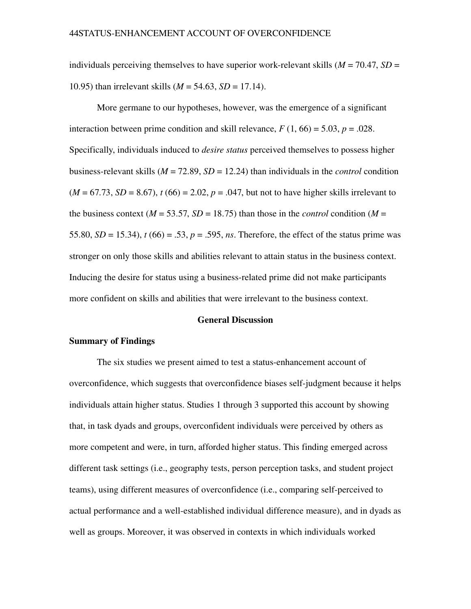individuals perceiving themselves to have superior work-relevant skills  $(M = 70.47, SD =$ 10.95) than irrelevant skills (*M* = 54.63, *SD* = 17.14).

More germane to our hypotheses, however, was the emergence of a significant interaction between prime condition and skill relevance,  $F(1, 66) = 5.03$ ,  $p = .028$ . Specifically, individuals induced to *desire status* perceived themselves to possess higher business-relevant skills ( $M = 72.89$ ,  $SD = 12.24$ ) than individuals in the *control* condition  $(M = 67.73, SD = 8.67)$ ,  $t(66) = 2.02$ ,  $p = .047$ , but not to have higher skills irrelevant to the business context ( $M = 53.57$ ,  $SD = 18.75$ ) than those in the *control* condition ( $M =$ 55.80,  $SD = 15.34$ ),  $t (66) = .53$ ,  $p = .595$ , *ns*. Therefore, the effect of the status prime was stronger on only those skills and abilities relevant to attain status in the business context. Inducing the desire for status using a business-related prime did not make participants more confident on skills and abilities that were irrelevant to the business context.

#### General Discussion

#### Summary of Findings

The six studies we present aimed to test a status-enhancement account of overconfidence, which suggests that overconfidence biases self-judgment because it helps individuals attain higher status. Studies 1 through 3 supported this account by showing that, in task dyads and groups, overconfident individuals were perceived by others as more competent and were, in turn, afforded higher status. This finding emerged across different task settings (i.e., geography tests, person perception tasks, and student project teams), using different measures of overconfidence (i.e., comparing self-perceived to actual performance and a well-established individual difference measure), and in dyads as well as groups. Moreover, it was observed in contexts in which individuals worked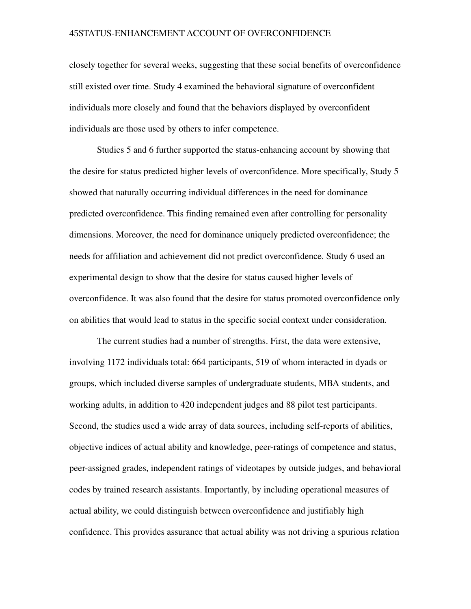closely together for several weeks, suggesting that these social benefits of overconfidence still existed over time. Study 4 examined the behavioral signature of overconfident individuals more closely and found that the behaviors displayed by overconfident individuals are those used by others to infer competence.

Studies 5 and 6 further supported the status-enhancing account by showing that the desire for status predicted higher levels of overconfidence. More specifically, Study 5 showed that naturally occurring individual differences in the need for dominance predicted overconfidence. This finding remained even after controlling for personality dimensions. Moreover, the need for dominance uniquely predicted overconfidence; the needs for affiliation and achievement did not predict overconfidence. Study 6 used an experimental design to show that the desire for status caused higher levels of overconfidence. It was also found that the desire for status promoted overconfidence only on abilities that would lead to status in the specific social context under consideration.

The current studies had a number of strengths. First, the data were extensive, involving 1172 individuals total: 664 participants, 519 of whom interacted in dyads or groups, which included diverse samples of undergraduate students, MBA students, and working adults, in addition to 420 independent judges and 88 pilot test participants. Second, the studies used a wide array of data sources, including self-reports of abilities, objective indices of actual ability and knowledge, peerratings of competence and status, peer-assigned grades, independent ratings of videotapes by outside judges, and behavioral codes by trained research assistants. Importantly, by including operational measures of actual ability, we could distinguish between overconfidence and justifiably high confidence. This provides assurance that actual ability was not driving a spurious relation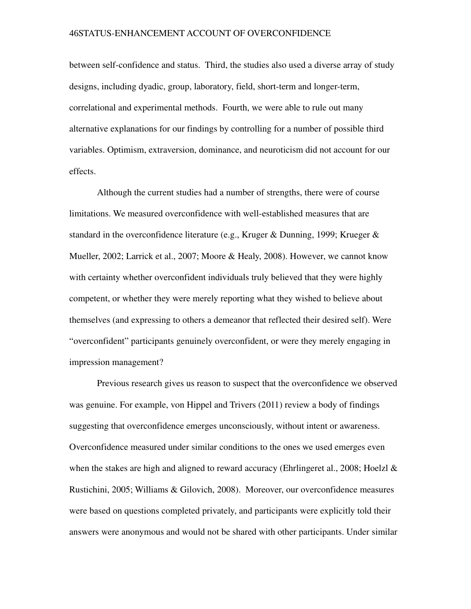between self-confidence and status. Third, the studies also used a diverse array of study designs, including dyadic, group, laboratory, field, short-term and longer-term, correlational and experimental methods. Fourth, we were able to rule out many alternative explanations for our findings by controlling for a number of possible third variables. Optimism, extraversion, dominance, and neuroticism did not account for our effects.

Although the current studies had a number of strengths, there were of course limitations. We measured overconfidence with well-established measures that are standard in the overconfidence literature (e.g., Kruger & Dunning, 1999; Krueger & Mueller, 2002; Larrick et al., 2007; Moore & Healy, 2008). However, we cannot know with certainty whether overconfident individuals truly believed that they were highly competent, or whether they were merely reporting what they wished to believe about themselves (and expressing to others a demeanor that reflected their desired self). Were "overconfident" participants genuinely overconfident, or were they merely engaging in impression management?

Previous research gives us reason to suspect that the overconfidence we observed was genuine. For example, von Hippel and Trivers (2011) review a body of findings suggesting that overconfidence emerges unconsciously, without intent or awareness. Overconfidence measured under similar conditions to the ones we used emerges even when the stakes are high and aligned to reward accuracy (Ehrlingeret al., 2008; Hoelzl  $\&$ Rustichini, 2005; Williams & Gilovich, 2008). Moreover, our overconfidence measures were based on questions completed privately, and participants were explicitly told their answers were anonymous and would not be shared with other participants. Under similar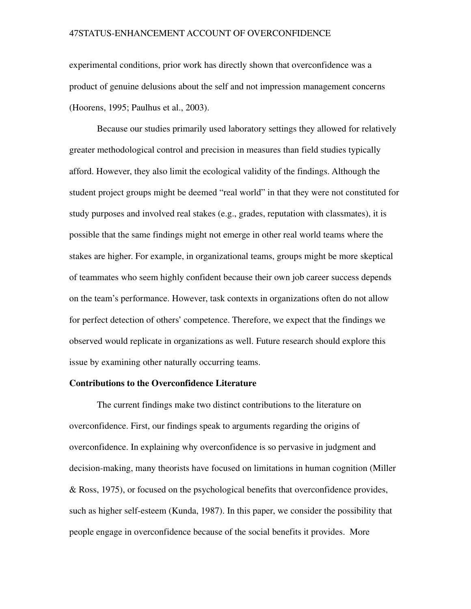experimental conditions, prior work has directly shown that overconfidence was a product of genuine delusions about the self and not impression management concerns (Hoorens, 1995; Paulhus et al., 2003).

Because our studies primarily used laboratory settings they allowed for relatively greater methodological control and precision in measures than field studies typically afford. However, they also limit the ecological validity of the findings. Although the student project groups might be deemed "real world" in that they were not constituted for study purposes and involved real stakes (e.g., grades, reputation with classmates), it is possible that the same findings might not emerge in other real world teams where the stakes are higher. For example, in organizational teams, groups might be more skeptical of teammates who seem highly confident because their own job career success depends on the team's performance. However, task contexts in organizations often do not allow for perfect detection of others' competence. Therefore, we expect that the findings we observed would replicate in organizations as well. Future research should explore this issue by examining other naturally occurring teams.

#### Contributions to the Overconfidence Literature

The current findings make two distinct contributions to the literature on overconfidence. First, our findings speak to arguments regarding the origins of overconfidence. In explaining why overconfidence is so pervasive in judgment and decision-making, many theorists have focused on limitations in human cognition (Miller) & Ross, 1975), or focused on the psychological benefits that overconfidence provides, such as higher self-esteem (Kunda, 1987). In this paper, we consider the possibility that people engage in overconfidence because of the social benefits it provides. More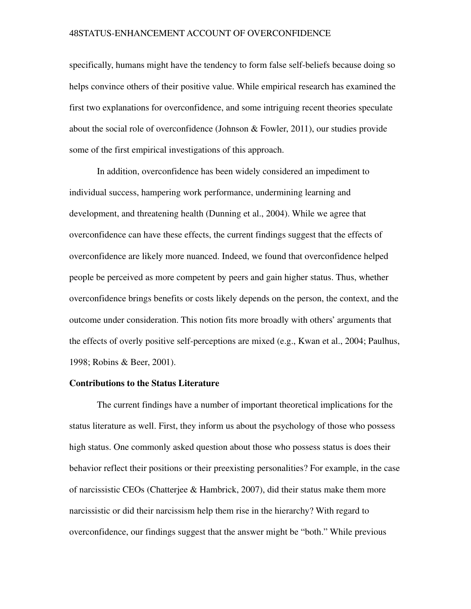specifically, humans might have the tendency to form false self-beliefs because doing so helps convince others of their positive value. While empirical research has examined the first two explanations for overconfidence, and some intriguing recent theories speculate about the social role of overconfidence (Johnson & Fowler, 2011), our studies provide some of the first empirical investigations of this approach.

In addition, overconfidence has been widely considered an impediment to individual success, hampering work performance, undermining learning and development, and threatening health (Dunning et al., 2004). While we agree that overconfidence can have these effects, the current findings suggest that the effects of overconfidence are likely more nuanced. Indeed, we found that overconfidence helped people be perceived as more competent by peers and gain higher status. Thus, whether overconfidence brings benefits or costs likely depends on the person, the context, and the outcome under consideration. This notion fits more broadly with others' arguments that the effects of overly positive self-perceptions are mixed (e.g., Kwan et al., 2004; Paulhus, 1998; Robins & Beer, 2001).

#### Contributions to the Status Literature

The current findings have a number of important theoretical implications for the status literature as well. First, they inform us about the psychology of those who possess high status. One commonly asked question about those who possess status is does their behavior reflect their positions or their preexisting personalities? For example, in the case of narcissistic CEOs (Chatterjee & Hambrick, 2007), did their status make them more narcissistic or did their narcissism help them rise in the hierarchy? With regard to overconfidence, our findings suggest that the answer might be "both." While previous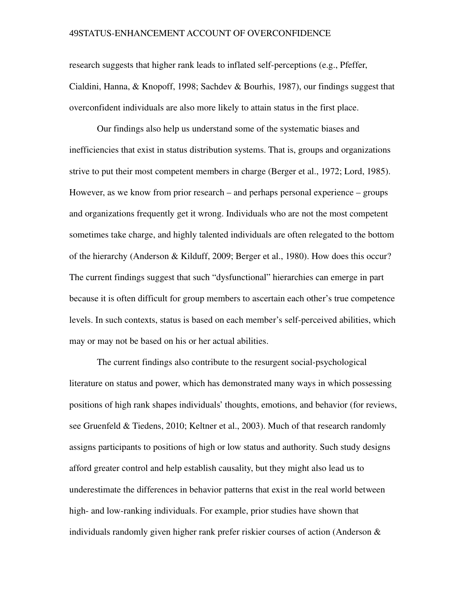research suggests that higher rank leads to inflated self-perceptions (e.g., Pfeffer, Cialdini, Hanna, & Knopoff, 1998; Sachdev & Bourhis, 1987), our findings suggest that overconfident individuals are also more likely to attain status in the first place.

Our findings also help us understand some of the systematic biases and inefficiencies that exist in status distribution systems. That is, groups and organizations strive to put their most competent members in charge (Berger et al., 1972; Lord, 1985). However, as we know from prior research – and perhaps personal experience – groups and organizations frequently get it wrong. Individuals who are not the most competent sometimes take charge, and highly talented individuals are often relegated to the bottom of the hierarchy (Anderson & Kilduff, 2009; Berger et al., 1980). How does this occur? The current findings suggest that such "dysfunctional" hierarchies can emerge in part because it is often difficult for group members to ascertain each other's true competence levels. In such contexts, status is based on each member's self-perceived abilities, which may or may not be based on his or her actual abilities.

The current findings also contribute to the resurgent social-psychological literature on status and power, which has demonstrated many ways in which possessing positions of high rank shapes individuals' thoughts, emotions, and behavior (for reviews, see Gruenfeld & Tiedens, 2010; Keltner et al., 2003). Much of that research randomly assigns participants to positions of high or low status and authority. Such study designs afford greater control and help establish causality, but they might also lead us to underestimate the differences in behavior patterns that exist in the real world between high- and low-ranking individuals. For example, prior studies have shown that individuals randomly given higher rank prefer riskier courses of action (Anderson &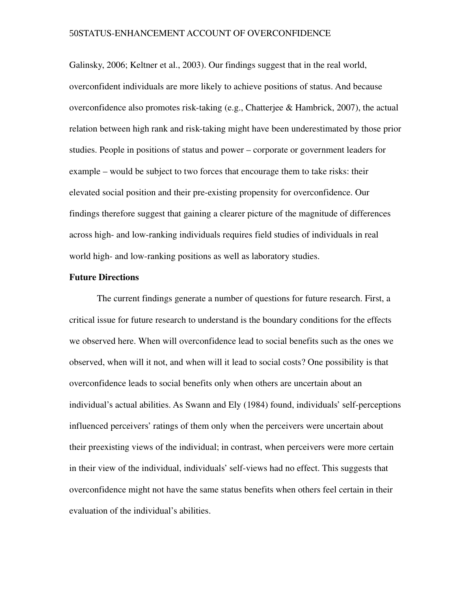Galinsky, 2006; Keltner et al., 2003). Our findings suggest that in the real world, overconfident individuals are more likely to achieve positions of status. And because overconfidence also promotes risk-taking (e.g., Chatterjee & Hambrick, 2007), the actual relation between high rank and risk-taking might have been underestimated by those prior studies. People in positions of status and power – corporate or government leaders for example – would be subject to two forces that encourage them to take risks: their elevated social position and their preexisting propensity for overconfidence. Our findings therefore suggest that gaining a clearer picture of the magnitude of differences across high- and low-ranking individuals requires field studies of individuals in real world high- and low-ranking positions as well as laboratory studies.

#### Future Directions

The current findings generate a number of questions for future research. First, a critical issue for future research to understand is the boundary conditions for the effects we observed here. When will overconfidence lead to social benefits such as the ones we observed, when will it not, and when will it lead to social costs? One possibility is that overconfidence leads to social benefits only when others are uncertain about an individual's actual abilities. As Swann and Ely (1984) found, individuals' self-perceptions influenced perceivers' ratings of them only when the perceivers were uncertain about their preexisting views of the individual; in contrast, when perceivers were more certain in their view of the individual, individuals' self-views had no effect. This suggests that overconfidence might not have the same status benefits when others feel certain in their evaluation of the individual's abilities.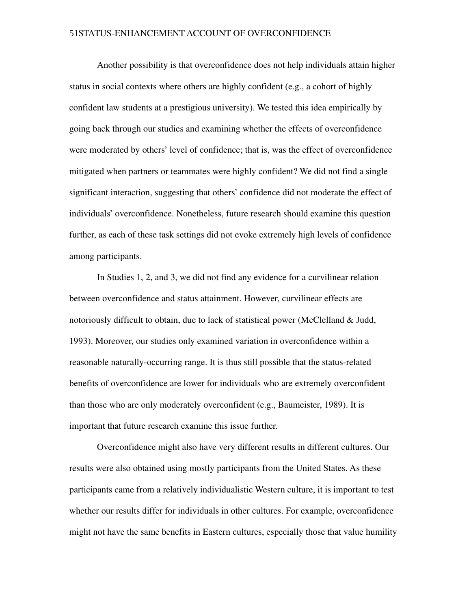Another possibility is that overconfidence does not help individuals attain higher status in social contexts where others are highly confident (e.g., a cohort of highly confident law students at a prestigious university). We tested this idea empirically by going back through our studies and examining whether the effects of overconfidence were moderated by others' level of confidence; that is, was the effect of overconfidence mitigated when partners or teammates were highly confident? We did not find a single significant interaction, suggesting that others' confidence did not moderate the effect of individuals' overconfidence. Nonetheless, future research should examine this question further, as each of these task settings did not evoke extremely high levels of confidence among participants.

In Studies 1, 2, and 3, we did not find any evidence for a curvilinear relation between overconfidence and status attainment. However, curvilinear effects are notoriously difficult to obtain, due to lack of statistical power (McClelland & Judd, 1993). Moreover, our studies only examined variation in overconfidence within a reasonable naturally-occurring range. It is thus still possible that the status-related benefits of overconfidence are lower for individuals who are extremely overconfident than those who are only moderately overconfident (e.g., Baumeister, 1989). It is important that future research examine this issue further.

Overconfidence might also have very different results in different cultures. Our results were also obtained using mostly participants from the United States. As these participants came from a relatively individualistic Western culture, it is important to test whether our results differ for individuals in other cultures. For example, overconfidence might not have the same benefits in Eastern cultures, especially those that value humility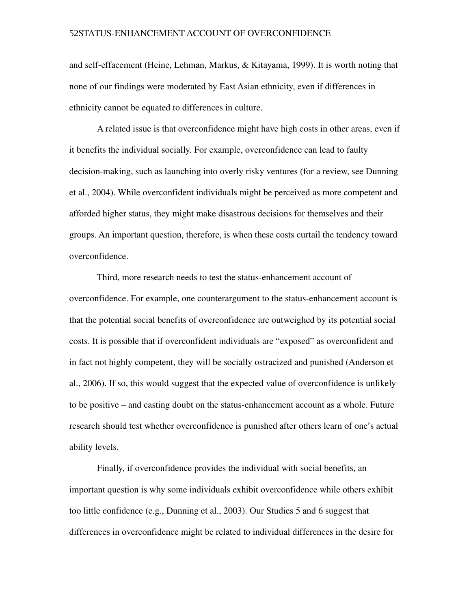and self-effacement (Heine, Lehman, Markus, & Kitayama, 1999). It is worth noting that none of our findings were moderated by East Asian ethnicity, even if differences in ethnicity cannot be equated to differences in culture.

A related issue is that overconfidence might have high costs in other areas, even if it benefits the individual socially. For example, overconfidence can lead to faulty decision-making, such as launching into overly risky ventures (for a review, see Dunning et al., 2004). While overconfident individuals might be perceived as more competent and afforded higher status, they might make disastrous decisions for themselves and their groups. An important question, therefore, is when these costs curtail the tendency toward overconfidence.

Third, more research needs to test the status-enhancement account of overconfidence. For example, one counterargument to the status-enhancement account is that the potential social benefits of overconfidence are outweighed by its potential social costs. It is possible that if overconfident individuals are "exposed" as overconfident and in fact not highly competent, they will be socially ostracized and punished (Anderson et al., 2006). If so, this would suggest that the expected value of overconfidence is unlikely to be positive – and casting doubt on the status-enhancement account as a whole. Future research should test whether overconfidence is punished after others learn of one's actual ability levels.

Finally, if overconfidence provides the individual with social benefits, an important question is why some individuals exhibit overconfidence while others exhibit too little confidence (e.g., Dunning et al., 2003). Our Studies 5 and 6 suggest that differences in overconfidence might be related to individual differences in the desire for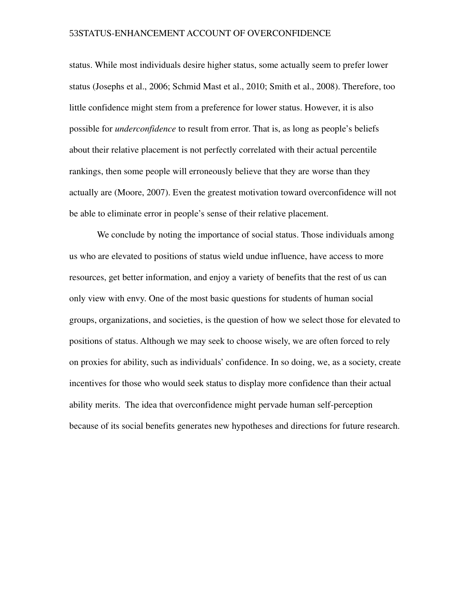status. While most individuals desire higher status, some actually seem to prefer lower status (Josephs et al., 2006; Schmid Mast et al., 2010; Smith et al., 2008). Therefore, too little confidence might stem from a preference for lower status. However, it is also possible for *underconfidence* to result from error. That is, as long as people's beliefs about their relative placement is not perfectly correlated with their actual percentile rankings, then some people will erroneously believe that they are worse than they actually are (Moore, 2007). Even the greatest motivation toward overconfidence will not be able to eliminate error in people's sense of their relative placement.

We conclude by noting the importance of social status. Those individuals among us who are elevated to positions of status wield undue influence, have access to more resources, get better information, and enjoy a variety of benefits that the rest of us can only view with envy. One of the most basic questions for students of human social groups, organizations, and societies, is the question of how we select those for elevated to positions of status. Although we may seek to choose wisely, we are often forced to rely on proxies for ability, such as individuals' confidence. In so doing, we, as a society, create incentives for those who would seek status to display more confidence than their actual ability merits. The idea that overconfidence might pervade human self-perception because of its social benefits generates new hypotheses and directions for future research.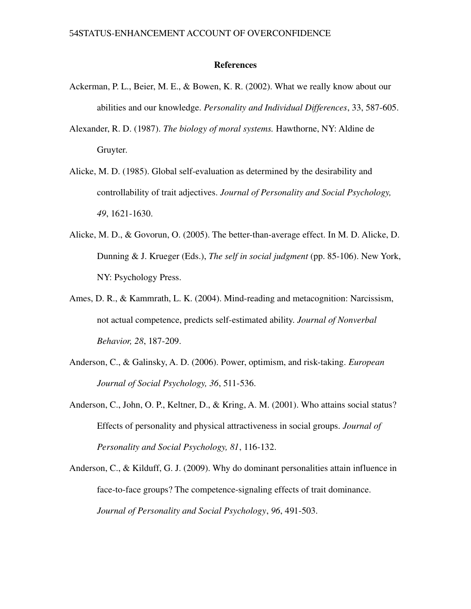#### References

- Ackerman, P. L., Beier, M. E., & Bowen, K. R. (2002). What we really know about our abilities and our knowledge. *Personality and Individual Differences*, 33, 587-605.
- Alexander, R. D. (1987). *The biology of moral systems.* Hawthorne, NY: Aldine de Gruyter.
- Alicke, M. D. (1985). Global self-evaluation as determined by the desirability and controllability of trait adjectives. *Journal of Personality and Social Psychology,* 49, 1621-1630.
- Alicke, M. D.,  $\&$  Govorun, O. (2005). The better-than-average effect. In M. D. Alicke, D. Dunning & J. Krueger (Eds.), *The self in social judgment* (pp. 85-106). New York, NY: Psychology Press.
- Ames, D. R., & Kammrath, L. K. (2004). Mind-reading and metacognition: Narcissism, not actual competence, predicts self-estimated ability. *Journal of Nonverbal Behavior, 28, 187-209.*
- Anderson, C., & Galinsky, A. D. (2006). Power, optimism, and risk-taking. *European Journal of Social Psychology, 36, 511-536.*
- Anderson, C., John, O. P., Keltner, D., & Kring, A. M. (2001). Who attains social status? Effects of personality and physical attractiveness in social groups. *Journal of Personality and Social Psychology, 81, 116-132.*
- Anderson, C., & Kilduff, G. J. (2009). Why do dominant personalities attain influence in face-to-face groups? The competence-signaling effects of trait dominance. *Journal of Personality and Social Psychology*, 96, 491-503.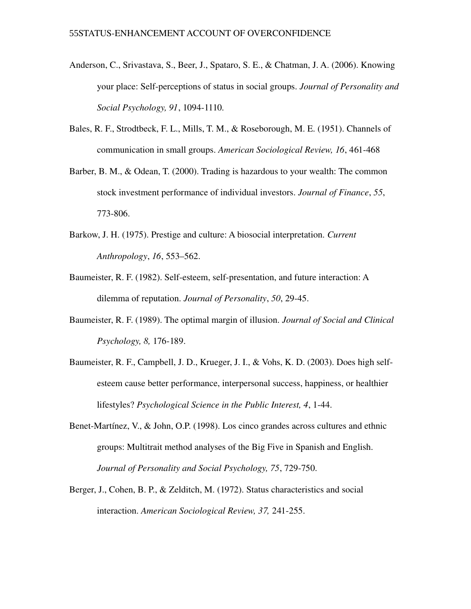- Anderson, C., Srivastava, S., Beer, J., Spataro, S. E., & Chatman, J. A. (2006). Knowing your place: Self-perceptions of status in social groups. *Journal of Personality and Social Psychology, 91, 1094-1110.*
- Bales, R. F., Strodtbeck, F. L., Mills, T. M., & Roseborough, M. E. (1951). Channels of communication in small groups. *American Sociological Review, 16*, 461-468
- Barber, B. M., & Odean, T. (2000). Trading is hazardous to your wealth: The common stock investment performance of individual investors. *Journal of Finance*, *55*, 773-806.
- Barkow, J. H. (1975). Prestige and culture: A biosocial interpretation. *Current Anthropology*, *16*, 553–562.
- Baumeister, R. F. (1982). Self-esteem, self-presentation, and future interaction: A dilemma of reputation. *Journal of Personality*, 50, 29-45.
- Baumeister, R. F. (1989). The optimal margin of illusion. *Journal of Social and Clinical Psychology, 8, 176-189.*
- Baumeister, R. F., Campbell, J. D., Krueger, J. I., & Vohs, K. D. (2003). Does high selfesteem cause better performance, interpersonal success, happiness, or healthier lifestyles? *Psychological Science in the Public Interest, 4, 1-44.*
- Benet-Martínez, V., & John, O.P. (1998). Los cinco grandes across cultures and ethnic groups: Multitrait method analyses of the Big Five in Spanish and English. *Journal of Personality and Social Psychology, 75, 729-750.*
- Berger, J., Cohen, B. P., & Zelditch, M. (1972). Status characteristics and social interaction. *American Sociological Review, 37, 241-255.*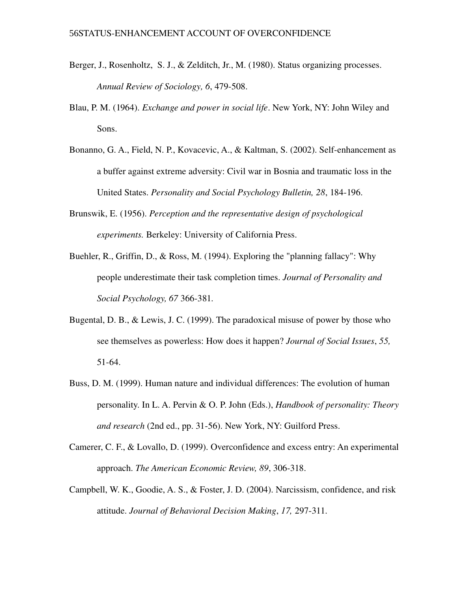- Berger, J., Rosenholtz, S. J., & Zelditch, Jr., M. (1980). Status organizing processes. *Annual Review of Sociology, 6, 479-508.*
- Blau, P. M. (1964). *Exchange and power in social life*. New York, NY: John Wiley and Sons.
- Bonanno, G. A., Field, N. P., Kovacevic, A., & Kaltman, S. (2002). Self-enhancement as a buffer against extreme adversity: Civil war in Bosnia and traumatic loss in the United States. *Personality and Social Psychology Bulletin*, 28, 184-196.
- Brunswik, E. (1956). *Perception and the representative design of psychological experiments.* Berkeley: University of California Press.
- Buehler, R., Griffin, D., & Ross, M. (1994). Exploring the "planning fallacy": Why people underestimate their task completion times. *Journal of Personality and Social Psychology, 67* 366-381.
- Bugental, D. B., & Lewis, J. C. (1999). The paradoxical misuse of power by those who see themselves as powerless: How does it happen? *Journal of Social Issues*, *55,* 51-64.
- Buss, D. M. (1999). Human nature and individual differences: The evolution of human personality. In L. A. Pervin & O. P. John (Eds.), *Handbook of personality: Theory and research* (2nd ed., pp. 31-56). New York, NY: Guilford Press.
- Camerer, C. F., & Lovallo, D. (1999). Overconfidence and excess entry: An experimental approach. *The American Economic Review, 89, 306-318*.
- Campbell, W. K., Goodie, A. S., & Foster, J. D. (2004). Narcissism, confidence, and risk attitude. *Journal of Behavioral Decision Making*, 17, 297-311.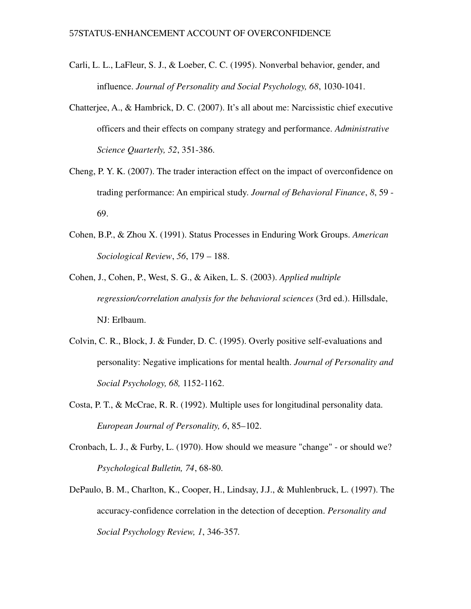- Carli, L. L., LaFleur, S. J., & Loeber, C. C. (1995). Nonverbal behavior, gender, and influence. *Journal of Personality and Social Psychology, 68, 1030-1041.*
- Chatterjee, A., & Hambrick, D. C. (2007). It's all about me: Narcissistic chief executive officers and their effects on company strategy and performance. *Administrative Science Quarterly, 52, 351-386.*
- Cheng, P. Y. K. (2007). The trader interaction effect on the impact of overconfidence on trading performance: An empirical study. *Journal of Behavioral Finance*, *8*, 59 69.
- Cohen, B.P., & Zhou X. (1991). Status Processes in Enduring Work Groups. *American Sociological Review*, *56*, 179 – 188.
- Cohen, J., Cohen, P., West, S. G., & Aiken, L. S. (2003). *Applied multiple regression/correlation analysis for the behavioral sciences* (3rd ed.). Hillsdale, NJ: Erlbaum.
- Colvin, C. R., Block, J. & Funder, D. C. (1995). Overly positive self-evaluations and personality: Negative implications for mental health. *Journal of Personality and Social Psychology, 68, 1152-1162.*
- Costa, P. T., & McCrae, R. R. (1992). Multiple uses for longitudinal personality data. *European Journal of Personality, 6*, 85–102.
- Cronbach, L. J., & Furby, L. (1970). How should we measure "change" or should we? *Psychological Bulletin, 74, 68-80.*
- DePaulo, B. M., Charlton, K., Cooper, H., Lindsay, J.J., & Muhlenbruck, L. (1997). The accuracyconfidence correlation in the detection of deception. *Personality and Social Psychology Review, 1, 346-357.*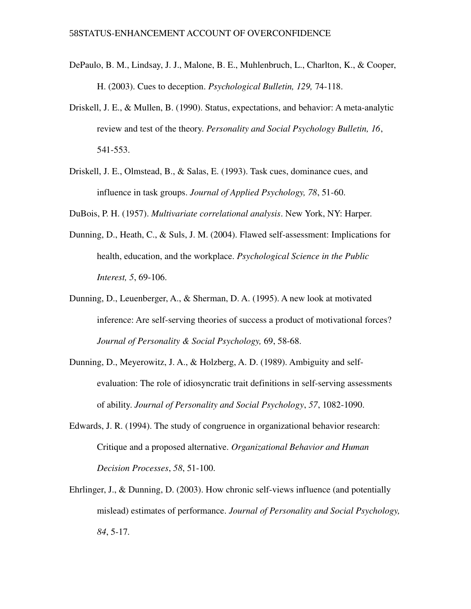- DePaulo, B. M., Lindsay, J. J., Malone, B. E., Muhlenbruch, L., Charlton, K., & Cooper, H. (2003). Cues to deception. *Psychological Bulletin*, 129, 74-118.
- Driskell, J. E., & Mullen, B. (1990). Status, expectations, and behavior: A meta-analytic review and test of the theory. *Personality and Social Psychology Bulletin, 16*, 541-553.
- Driskell, J. E., Olmstead, B., & Salas, E. (1993). Task cues, dominance cues, and influence in task groups. *Journal of Applied Psychology*, 78, 51-60.
- DuBois, P. H. (1957). *Multivariate correlational analysis*. New York, NY: Harper.
- Dunning, D., Heath, C., & Suls, J. M. (2004). Flawed self-assessment: Implications for health, education, and the workplace. *Psychological Science in the Public Interest,* 5, 69-106.
- Dunning, D., Leuenberger, A., & Sherman, D. A. (1995). A new look at motivated inference: Are self-serving theories of success a product of motivational forces? *Journal of Personality & Social Psychology, 69, 58-68.*
- Dunning, D., Meyerowitz, J. A., & Holzberg, A. D. (1989). Ambiguity and selfevaluation: The role of idiosyncratic trait definitions in self-serving assessments of ability. *Journal of Personality and Social Psychology*, 57, 1082-1090.
- Edwards, J. R. (1994). The study of congruence in organizational behavior research: Critique and a proposed alternative. *Organizational Behavior and Human Decision Processes*, 58, 51-100.
- Ehrlinger, J., & Dunning, D. (2003). How chronic self-views influence (and potentially mislead) estimates of performance. *Journal of Personality and Social Psychology,* 84, 5-17.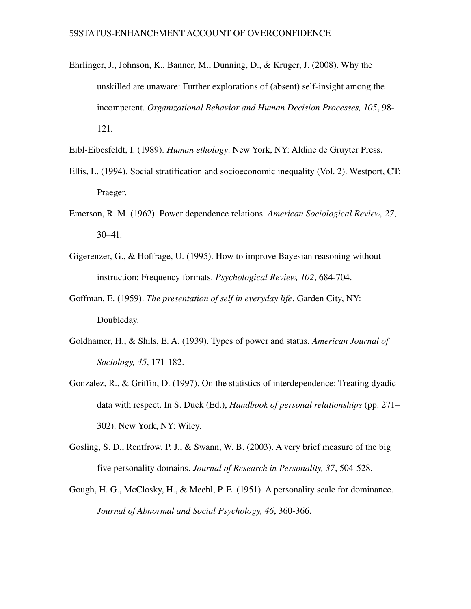- Ehrlinger, J., Johnson, K., Banner, M., Dunning, D., & Kruger, J. (2008). Why the unskilled are unaware: Further explorations of (absent) self-insight among the incompetent. *Organizational Behavior and Human Decision Processes, 105*, 98 121.
- Eibl-Eibesfeldt, I. (1989). *Human ethology*. New York, NY: Aldine de Gruyter Press.
- Ellis, L. (1994). Social stratification and socioeconomic inequality (Vol. 2). Westport, CT: Praeger.
- Emerson, R. M. (1962). Power dependence relations. *American Sociological Review, 27*, 30–41.
- Gigerenzer, G., & Hoffrage, U. (1995). How to improve Bayesian reasoning without instruction: Frequency formats. *Psychological Review, 102, 684-704.*
- Goffman, E. (1959). *The presentation of self in everyday life*. Garden City, NY: Doubleday.
- Goldhamer, H., & Shils, E. A. (1939). Types of power and status. *American Journal of Sociology, 45, 171-182.*
- Gonzalez, R., & Griffin, D. (1997). On the statistics of interdependence: Treating dyadic data with respect. In S. Duck (Ed.), *Handbook of personal relationships* (pp. 271– 302). New York, NY: Wiley.
- Gosling, S. D., Rentfrow, P. J., & Swann, W. B. (2003). A very brief measure of the big five personality domains. *Journal of Research in Personality*, 37, 504-528.
- Gough, H. G., McClosky, H., & Meehl, P. E. (1951). A personality scale for dominance. *Journal of Abnormal and Social Psychology, 46, 360-366.*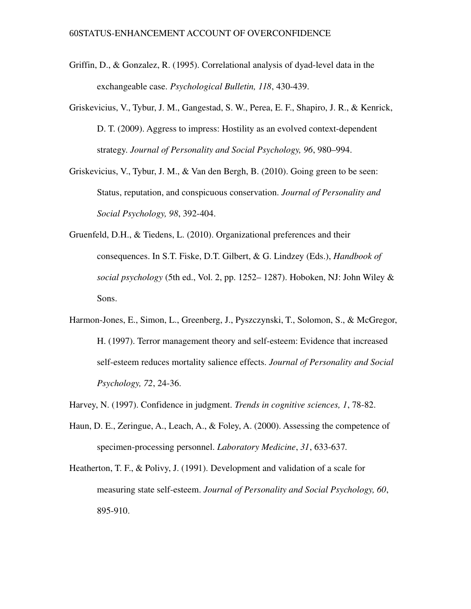- Griffin, D.,  $\&$  Gonzalez, R. (1995). Correlational analysis of dyad-level data in the exchangeable case. *Psychological Bulletin, 118, 430-439.*
- Griskevicius, V., Tybur, J. M., Gangestad, S. W., Perea, E. F., Shapiro, J. R., & Kenrick, D. T. (2009). Aggress to impress: Hostility as an evolved context-dependent strategy. *Journal of Personality and Social Psychology, 96*, 980–994.
- Griskevicius, V., Tybur, J. M., & Van den Bergh, B. (2010). Going green to be seen: Status, reputation, and conspicuous conservation. *Journal of Personality and Social Psychology, 98, 392-404.*
- Gruenfeld, D.H., & Tiedens, L. (2010). Organizational preferences and their consequences. In S.T. Fiske, D.T. Gilbert, & G. Lindzey (Eds.), *Handbook of social psychology* (5th ed., Vol. 2, pp. 1252– 1287). Hoboken, NJ: John Wiley & Sons.
- Harmon-Jones, E., Simon, L., Greenberg, J., Pyszczynski, T., Solomon, S., & McGregor, H. (1997). Terror management theory and self-esteem: Evidence that increased self-esteem reduces mortality salience effects. *Journal of Personality and Social Psychology, 72, 24-36.*
- Harvey, N. (1997). Confidence in judgment. *Trends in cognitive sciences, 1*, 78-82.
- Haun, D. E., Zeringue, A., Leach, A., & Foley, A. (2000). Assessing the competence of specimen-processing personnel. *Laboratory Medicine*, 31, 633-637.
- Heatherton, T. F., & Polivy, J. (1991). Development and validation of a scale for measuring state self-esteem. *Journal of Personality and Social Psychology*, 60, 895-910.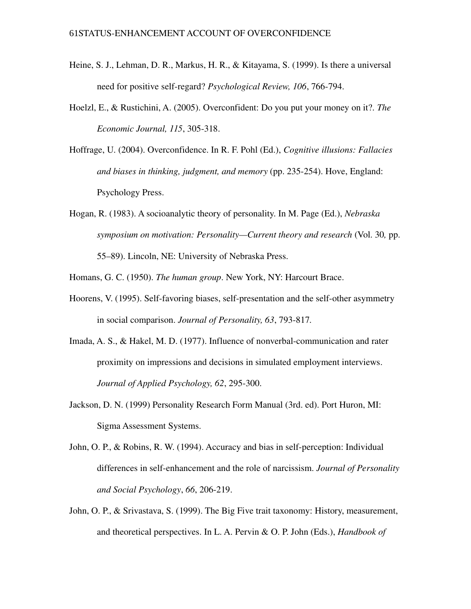- Heine, S. J., Lehman, D. R., Markus, H. R., & Kitayama, S. (1999). Is there a universal need for positive self-regard? *Psychological Review, 106, 766-794.*
- Hoelzl, E., & Rustichini, A. (2005). Overconfident: Do you put your money on it?. *The Economic Journal, 115, 305-318.*
- Hoffrage, U. (2004). Overconfidence. In R. F. Pohl (Ed.), *Cognitive illusions: Fallacies and biases in thinking, judgment, and memory* (pp. 235-254). Hove, England: Psychology Press.
- Hogan, R. (1983). A socioanalytic theory of personality. In M. Page (Ed.), *Nebraska symposium on motivation: Personality—Current theory and research* (Vol. 30*,* pp. 55–89). Lincoln, NE: University of Nebraska Press.
- Homans, G. C. (1950). *The human group*. New York, NY: Harcourt Brace.
- Hoorens, V. (1995). Self-favoring biases, self-presentation and the self-other asymmetry in social comparison. *Journal of Personality, 63, 793-817*.
- Imada, A. S.,  $\&$  Hakel, M. D. (1977). Influence of nonverbal-communication and rater proximity on impressions and decisions in simulated employment interviews. *Journal of Applied Psychology, 62, 295-300.*
- Jackson, D. N. (1999) Personality Research Form Manual (3rd. ed). Port Huron, MI: Sigma Assessment Systems.
- John, O. P., & Robins, R. W. (1994). Accuracy and bias in self-perception: Individual differences in self-enhancement and the role of narcissism. *Journal of Personality and Social Psychology*, 66, 206-219.
- John, O. P., & Srivastava, S. (1999). The Big Five trait taxonomy: History, measurement, and theoretical perspectives. In L. A. Pervin & O. P. John (Eds.), *Handbook of*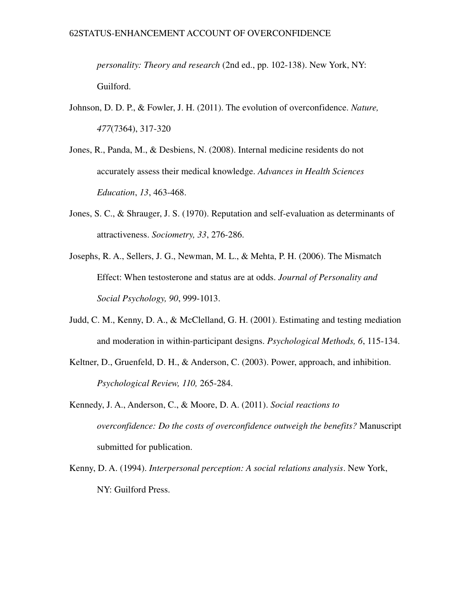*personality: Theory and research* (2nd ed., pp. 102-138). New York, NY: Guilford.

- Johnson, D. D. P., & Fowler, J. H. (2011). The evolution of overconfidence. *Nature,* 477(7364), 317-320
- Jones, R., Panda, M., & Desbiens, N. (2008). Internal medicine residents do not accurately assess their medical knowledge. *Advances in Health Sciences Education*, 13, 463-468.
- Jones, S. C., & Shrauger, J. S. (1970). Reputation and self-evaluation as determinants of attractiveness. *Sociometry*, 33, 276-286.
- Josephs, R. A., Sellers, J. G., Newman, M. L., & Mehta, P. H. (2006). The Mismatch Effect: When testosterone and status are at odds. *Journal of Personality and Social Psychology, 90, 999-1013.*
- Judd, C. M., Kenny, D. A., & McClelland, G. H. (2001). Estimating and testing mediation and moderation in within-participant designs. *Psychological Methods*, 6, 115-134.
- Keltner, D., Gruenfeld, D. H., & Anderson, C. (2003). Power, approach, and inhibition. *Psychological Review, 110, 265-284.*
- Kennedy, J. A., Anderson, C., & Moore, D. A. (2011). *Social reactions to overconfidence: Do the costs of overconfidence outweigh the benefits?* Manuscript submitted for publication.
- Kenny, D. A. (1994). *Interpersonal perception: A social relations analysis*. New York, NY: Guilford Press.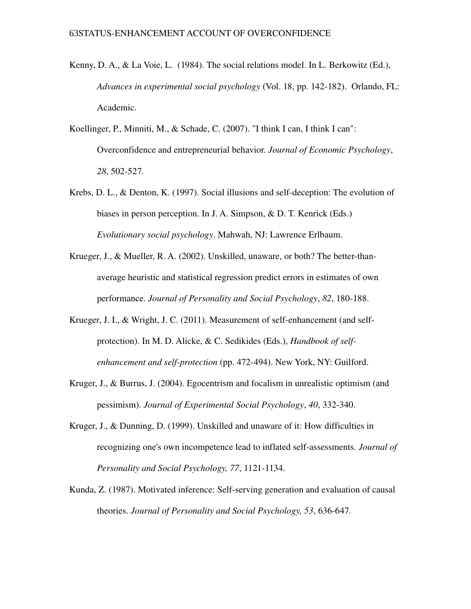- Kenny, D. A., & La Voie, L. (1984). The social relations model. In L. Berkowitz (Ed.), *Advances in experimental social psychology* (Vol. 18, pp. 142-182). Orlando, FL: Academic.
- Koellinger, P., Minniti, M., & Schade, C. (2007). "I think I can, I think I can": Overconfidence and entrepreneurial behavior. *Journal of Economic Psychology*, 28, 502-527.
- Krebs, D. L.,  $\&$  Denton, K. (1997). Social illusions and self-deception: The evolution of biases in person perception. In J. A. Simpson, & D. T. Kenrick (Eds.) *Evolutionary social psychology*. Mahwah, NJ: Lawrence Erlbaum.
- Krueger, J., & Mueller, R. A. (2002). Unskilled, unaware, or both? The better-thanaverage heuristic and statistical regression predict errors in estimates of own performance. *Journal of Personality and Social Psychology*, 82, 180-188.
- Krueger, J. I., & Wright, J. C.  $(2011)$ . Measurement of self-enhancement (and selfprotection). In M. D. Alicke, & C. Sedikides (Eds.), *Handbook of selfenhancement and self-protection* (pp. 472-494). New York, NY: Guilford.
- Kruger, J., & Burrus, J. (2004). Egocentrism and focalism in unrealistic optimism (and pessimism). *Journal of Experimental Social Psychology*, 40, 332-340.
- Kruger, J., & Dunning, D. (1999). Unskilled and unaware of it: How difficulties in recognizing one's own incompetence lead to inflated self-assessments. *Journal of Personality and Social Psychology, 77, 1121-1134.*
- Kunda, Z. (1987). Motivated inference: Self-serving generation and evaluation of causal theories. *Journal of Personality and Social Psychology, 53, 636-647.*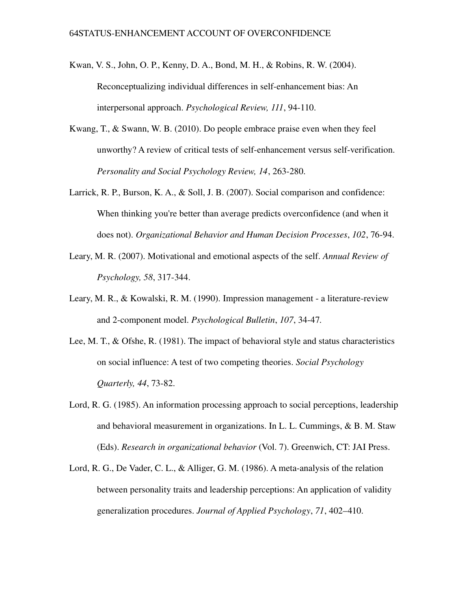- Kwan, V. S., John, O. P., Kenny, D. A., Bond, M. H., & Robins, R. W. (2004). Reconceptualizing individual differences in self-enhancement bias: An interpersonal approach. *Psychological Review, 111*, 94-110.
- Kwang, T., & Swann, W. B. (2010). Do people embrace praise even when they feel unworthy? A review of critical tests of self-enhancement versus self-verification. Personality and Social Psychology Review, 14, 263-280.
- Larrick, R. P., Burson, K. A., & Soll, J. B. (2007). Social comparison and confidence: When thinking you're better than average predicts overconfidence (and when it does not). *Organizational Behavior and Human Decision Processes*, 102, 76-94.
- Leary, M. R. (2007). Motivational and emotional aspects of the self. *Annual Review of Psychology, 58, 317-344.*
- Leary, M. R., & Kowalski, R. M. (1990). Impression management a literature-review and 2-component model. *Psychological Bulletin*, 107, 34-47.
- Lee, M. T., & Ofshe, R. (1981). The impact of behavioral style and status characteristics on social influence: A test of two competing theories. *Social Psychology Quarterly, 44, 73-82.*
- Lord, R. G. (1985). An information processing approach to social perceptions, leadership and behavioral measurement in organizations. In L. L. Cummings, & B. M. Staw (Eds). *Research in organizational behavior* (Vol. 7). Greenwich, CT: JAI Press.
- Lord, R. G., De Vader, C. L., & Alliger, G. M. (1986). A meta-analysis of the relation between personality traits and leadership perceptions: An application of validity generalization procedures. *Journal of Applied Psychology*, *71*, 402–410.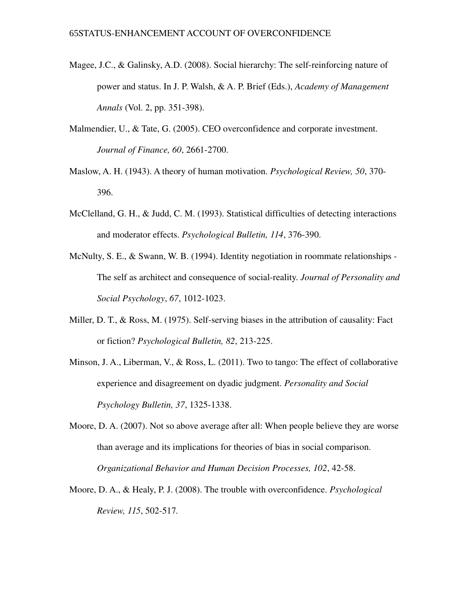- Magee, J.C.,  $\&$  Galinsky, A.D. (2008). Social hierarchy: The self-reinforcing nature of power and status. In J. P. Walsh, & A. P. Brief (Eds.), *Academy of Management Annals* (Vol. 2, pp. 351-398).
- Malmendier, U., & Tate, G. (2005). CEO overconfidence and corporate investment. *Journal of Finance, 60, 2661-2700.*
- Maslow, A. H. (1943). A theory of human motivation. *Psychological Review, 50*, 370 396.
- McClelland, G. H., & Judd, C. M. (1993). Statistical difficulties of detecting interactions and moderator effects. *Psychological Bulletin*, 114, 376-390.
- McNulty, S. E., & Swann, W. B. (1994). Identity negotiation in roommate relationships -The self as architect and consequence of social-reality. *Journal of Personality and Social Psychology*, 67, 1012-1023.
- Miller, D. T.,  $\&$  Ross, M. (1975). Self-serving biases in the attribution of causality: Fact or fiction? *Psychological Bulletin, 82, 213-225.*
- Minson, J. A., Liberman, V., & Ross, L. (2011). Two to tango: The effect of collaborative experience and disagreement on dyadic judgment. *Personality and Social Psychology Bulletin, 37, 1325-1338.*
- Moore, D. A. (2007). Not so above average after all: When people believe they are worse than average and its implications for theories of bias in social comparison. *Organizational Behavior and Human Decision Processes, 102*, 4258.
- Moore, D. A., & Healy, P. J. (2008). The trouble with overconfidence. *Psychological Review, 115, 502-517.*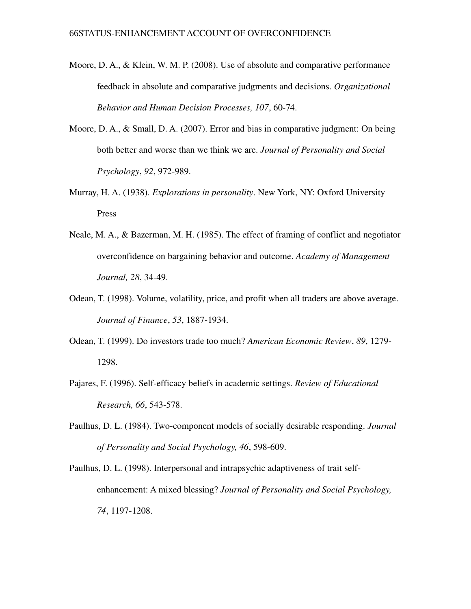- Moore, D. A., & Klein, W. M. P. (2008). Use of absolute and comparative performance feedback in absolute and comparative judgments and decisions. *Organizational Behavior and Human Decision Processes, 107, 60-74.*
- Moore, D. A., & Small, D. A. (2007). Error and bias in comparative judgment: On being both better and worse than we think we are. *Journal of Personality and Social Psychology*, 92, 972-989.
- Murray, H. A. (1938). *Explorations in personality*. New York, NY: Oxford University Press
- Neale, M. A., & Bazerman, M. H. (1985). The effect of framing of conflict and negotiator overconfidence on bargaining behavior and outcome. *Academy of Management Journal, 28, 34-49.*
- Odean, T. (1998). Volume, volatility, price, and profit when all traders are above average. *Journal of Finance*, 53, 1887-1934.
- Odean, T. (1999). Do investors trade too much? *American Economic Review*, *89*, 1279 1298.
- Pajares, F. (1996). Selfefficacy beliefs in academic settings. *Review of Educational Research, 66, 543-578.*
- Paulhus, D. L. (1984). Twocomponent models of socially desirable responding. *Journal of Personality and Social Psychology, 46, 598-609.*
- Paulhus, D. L. (1998). Interpersonal and intrapsychic adaptiveness of trait selfenhancement: A mixed blessing? *Journal of Personality and Social Psychology,* 74, 1197-1208.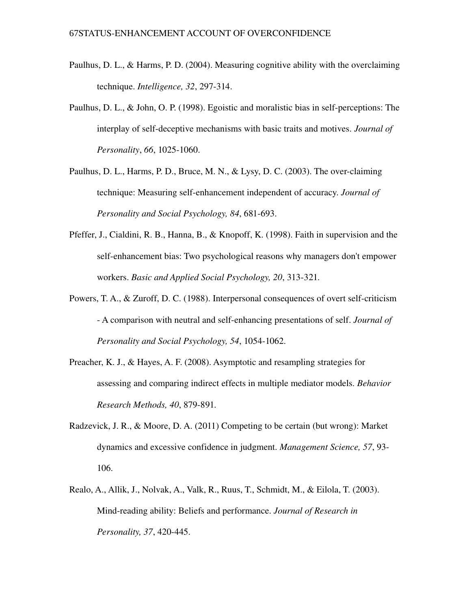- Paulhus, D. L., & Harms, P. D. (2004). Measuring cognitive ability with the overclaiming technique. *Intelligence*, 32, 297-314.
- Paulhus, D. L.,  $\&$  John, O. P. (1998). Egoistic and moralistic bias in self-perceptions: The interplay of self-deceptive mechanisms with basic traits and motives. *Journal of Personality*, 66, 1025-1060.
- Paulhus, D. L., Harms, P. D., Bruce, M. N., & Lysy, D. C. (2003). The over-claiming technique: Measuring self-enhancement independent of accuracy. *Journal of Personality and Social Psychology, 84, 681-693.*
- Pfeffer, J., Cialdini, R. B., Hanna, B., & Knopoff, K. (1998). Faith in supervision and the self-enhancement bias: Two psychological reasons why managers don't empower workers. *Basic and Applied Social Psychology*, 20, 313-321.
- Powers, T. A.,  $\&$  Zuroff, D. C. (1988). Interpersonal consequences of overt self-criticism A comparison with neutral and selfenhancing presentations of self. *Journal of Personality and Social Psychology, 54, 1054-1062.*
- Preacher, K. J., & Hayes, A. F. (2008). Asymptotic and resampling strategies for assessing and comparing indirect effects in multiple mediator models. *Behavior Research Methods, 40, 879-891.*
- Radzevick, J. R., & Moore, D. A. (2011) Competing to be certain (but wrong): Market dynamics and excessive confidence in judgment. *Management Science, 57*, 93 106.
- Realo, A., Allik, J., Nolvak, A., Valk, R., Ruus, T., Schmidt, M., & Eilola, T. (2003). Mind-reading ability: Beliefs and performance. *Journal of Research in Personality, 37, 420-445.*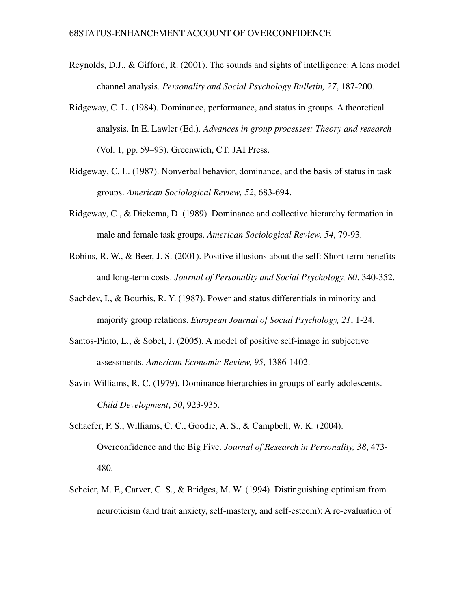- Reynolds, D.J., & Gifford, R. (2001). The sounds and sights of intelligence: A lens model channel analysis. *Personality and Social Psychology Bulletin, 27, 187-200.*
- Ridgeway, C. L. (1984). Dominance, performance, and status in groups. A theoretical analysis. In E. Lawler (Ed.). *Advances in group processes: Theory and research* (Vol. 1, pp. 59–93). Greenwich, CT: JAI Press.
- Ridgeway, C. L. (1987). Nonverbal behavior, dominance, and the basis of status in task groups. *American Sociological Review, 52, 683-694.*
- Ridgeway, C., & Diekema, D. (1989). Dominance and collective hierarchy formation in male and female task groups. *American Sociological Review, 54, 79-93*.
- Robins, R. W., & Beer, J. S. (2001). Positive illusions about the self: Short-term benefits and long-term costs. *Journal of Personality and Social Psychology, 80, 340-352.*
- Sachdev, I., & Bourhis, R. Y. (1987). Power and status differentials in minority and majority group relations. *European Journal of Social Psychology*, 21, 1-24.
- Santos-Pinto, L., & Sobel, J. (2005). A model of positive self-image in subjective assessments. *American Economic Review, 95, 1386-1402.*
- Savin-Williams, R. C. (1979). Dominance hierarchies in groups of early adolescents. *Child Development*, 50, 923-935.
- Schaefer, P. S., Williams, C. C., Goodie, A. S., & Campbell, W. K. (2004). Overconfidence and the Big Five. *Journal of Research in Personality, 38*, 473 480.
- Scheier, M. F., Carver, C. S., & Bridges, M. W. (1994). Distinguishing optimism from neuroticism (and trait anxiety, self-mastery, and self-esteem): A re-evaluation of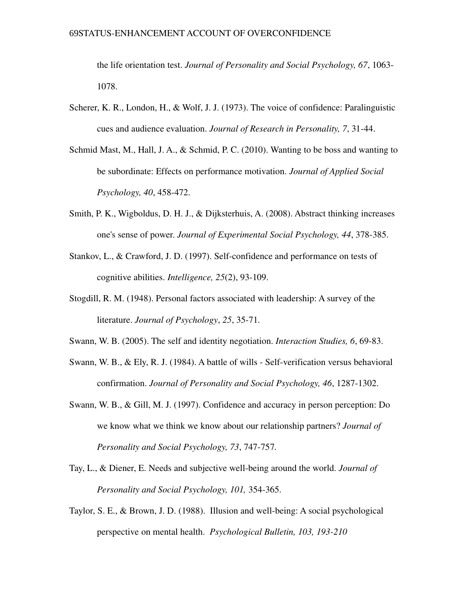the life orientation test. *Journal of Personality and Social Psychology, 67*, 1063 1078.

- Scherer, K. R., London, H., & Wolf, J. J. (1973). The voice of confidence: Paralinguistic cues and audience evaluation. *Journal of Research in Personality*, 7, 31-44.
- Schmid Mast, M., Hall, J. A., & Schmid, P. C. (2010). Wanting to be boss and wanting to be subordinate: Effects on performance motivation. *Journal of Applied Social Psychology, 40, 458-472.*
- Smith, P. K., Wigboldus, D. H. J., & Dijksterhuis, A. (2008). Abstract thinking increases one's sense of power. *Journal of Experimental Social Psychology*, 44, 378-385.
- Stankov, L., & Crawford, J. D. (1997). Self-confidence and performance on tests of cognitive abilities. *Intelligence*, 25(2), 93-109.
- Stogdill, R. M. (1948). Personal factors associated with leadership: A survey of the literature. *Journal of Psychology*, 25, 35-71.
- Swann, W. B. (2005). The self and identity negotiation. *Interaction Studies, 6*, 6983.
- Swann, W. B., & Ely, R. J. (1984). A battle of wills Self-verification versus behavioral confirmation. *Journal of Personality and Social Psychology, 46, 1287-1302.*
- Swann, W. B., & Gill, M. J. (1997). Confidence and accuracy in person perception: Do we know what we think we know about our relationship partners? *Journal of Personality and Social Psychology, 73, 747-757.*
- Tay, L., & Diener, E. Needs and subjective well-being around the world. *Journal of Personality and Social Psychology, 101, 354-365.*
- Taylor, S. E., & Brown, J. D. (1988). Illusion and well-being: A social psychological perspective on mental health. *Psychological Bulletin, 103, 193-210*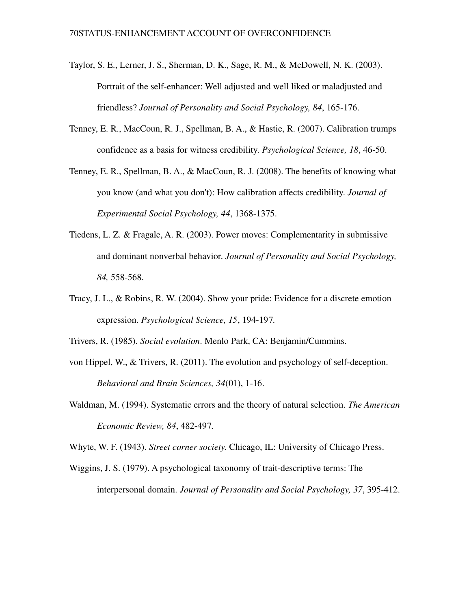- Taylor, S. E., Lerner, J. S., Sherman, D. K., Sage, R. M., & McDowell, N. K. (2003). Portrait of the self-enhancer: Well adjusted and well liked or maladjusted and friendless? *Journal of Personality and Social Psychology, 84*, 165176.
- Tenney, E. R., MacCoun, R. J., Spellman, B. A., & Hastie, R. (2007). Calibration trumps confidence as a basis for witness credibility. *Psychological Science*, 18, 46-50.
- Tenney, E. R., Spellman, B. A., & MacCoun, R. J. (2008). The benefits of knowing what you know (and what you don't): How calibration affects credibility. *Journal of Experimental Social Psychology, 44, 1368-1375.*
- Tiedens, L. Z. & Fragale, A. R. (2003). Power moves: Complementarity in submissive and dominant nonverbal behavior. *Journal of Personality and Social Psychology,* 84, 558-568.
- Tracy, J. L., & Robins, R. W. (2004). Show your pride: Evidence for a discrete emotion expression. *Psychological Science*, 15, 194-197.

Trivers, R. (1985). *Social evolution*. Menlo Park, CA: Benjamin/Cummins.

- von Hippel, W.,  $\&$  Trivers, R. (2011). The evolution and psychology of self-deception. *Behavioral and Brain Sciences, 34*(01), 1-16.
- Waldman, M. (1994). Systematic errors and the theory of natural selection. *The American Economic Review, 84, 482-497.*

Whyte, W. F. (1943). *Street corner society.* Chicago, IL: University of Chicago Press.

Wiggins, J. S. (1979). A psychological taxonomy of trait-descriptive terms: The interpersonal domain. *Journal of Personality and Social Psychology, 37, 395-412.*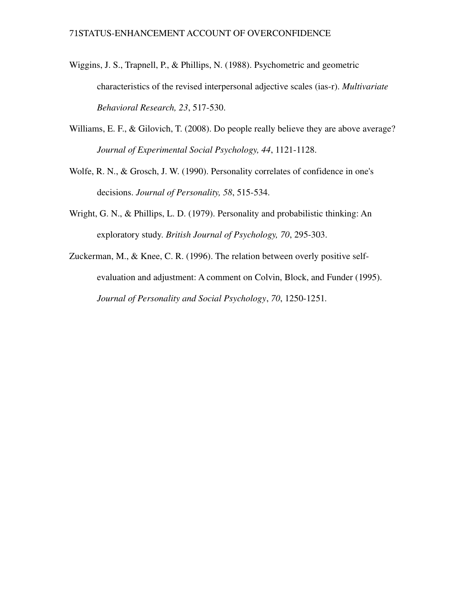- Wiggins, J. S., Trapnell, P., & Phillips, N. (1988). Psychometric and geometric characteristics of the revised interpersonal adjective scales (iasr). *Multivariate* Behavioral Research, 23, 517-530.
- Williams, E. F., & Gilovich, T. (2008). Do people really believe they are above average? *Journal of Experimental Social Psychology, 44, 1121-1128.*
- Wolfe, R. N., & Grosch, J. W. (1990). Personality correlates of confidence in one's decisions. *Journal of Personality*, 58, 515-534.
- Wright, G. N., & Phillips, L. D. (1979). Personality and probabilistic thinking: An exploratory study. *British Journal of Psychology, 70, 295-303.*
- Zuckerman, M., & Knee, C. R. (1996). The relation between overly positive selfevaluation and adjustment: A comment on Colvin, Block, and Funder (1995). *Journal of Personality and Social Psychology, 70, 1250-1251.*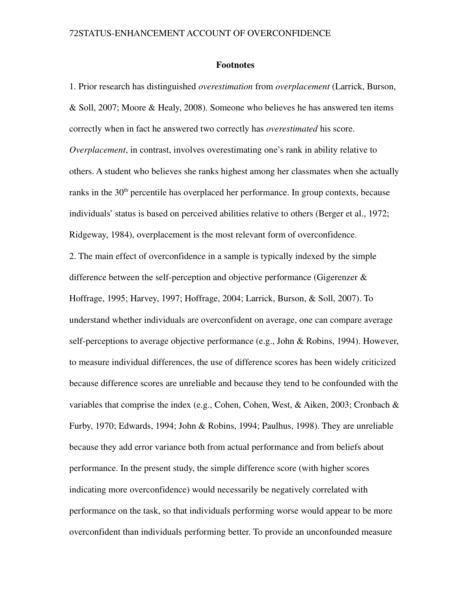#### Footnotes

1. Prior research has distinguished *overestimation* from *overplacement* (Larrick, Burson, & Soll, 2007; Moore & Healy, 2008). Someone who believes he has answered ten items correctly when in fact he answered two correctly has *overestimated* his score. *Overplacement*, in contrast, involves overestimating one's rank in ability relative to others. A student who believes she ranks highest among her classmates when she actually ranks in the  $30<sup>th</sup>$  percentile has overplaced her performance. In group contexts, because individuals' status is based on perceived abilities relative to others (Berger et al., 1972; Ridgeway, 1984), overplacement is the most relevant form of overconfidence. 2. The main effect of overconfidence in a sample is typically indexed by the simple difference between the self-perception and objective performance (Gigerenzer  $\&$ Hoffrage, 1995; Harvey, 1997; Hoffrage, 2004; Larrick, Burson, & Soll, 2007). To understand whether individuals are overconfident on average, one can compare average self-perceptions to average objective performance (e.g., John  $& \text{Robins}, 1994$ ). However, to measure individual differences, the use of difference scores has been widely criticized because difference scores are unreliable and because they tend to be confounded with the variables that comprise the index (e.g., Cohen, Cohen, West, & Aiken, 2003; Cronbach & Furby, 1970; Edwards, 1994; John & Robins, 1994; Paulhus, 1998). They are unreliable because they add error variance both from actual performance and from beliefs about performance. In the present study, the simple difference score (with higher scores indicating more overconfidence) would necessarily be negatively correlated with performance on the task, so that individuals performing worse would appear to be more overconfident than individuals performing better. To provide an unconfounded measure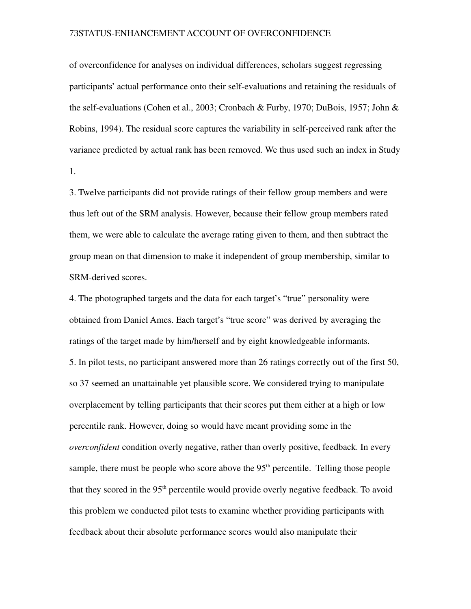of overconfidence for analyses on individual differences, scholars suggest regressing participants' actual performance onto their self-evaluations and retaining the residuals of the self-evaluations (Cohen et al., 2003; Cronbach & Furby, 1970; DuBois, 1957; John & Robins, 1994). The residual score captures the variability in self-perceived rank after the variance predicted by actual rank has been removed. We thus used such an index in Study 1.

3. Twelve participants did not provide ratings of their fellow group members and were thus left out of the SRM analysis. However, because their fellow group members rated them, we were able to calculate the average rating given to them, and then subtract the group mean on that dimension to make it independent of group membership, similar to SRM-derived scores.

4. The photographed targets and the data for each target's "true" personality were obtained from Daniel Ames. Each target's "true score" was derived by averaging the ratings of the target made by him/herself and by eight knowledgeable informants. 5. In pilot tests, no participant answered more than 26 ratings correctly out of the first 50, so 37 seemed an unattainable yet plausible score. We considered trying to manipulate overplacement by telling participants that their scores put them either at a high or low percentile rank. However, doing so would have meant providing some in the *overconfident* condition overly negative, rather than overly positive, feedback. In every sample, there must be people who score above the  $95<sup>th</sup>$  percentile. Telling those people that they scored in the  $95<sup>th</sup>$  percentile would provide overly negative feedback. To avoid this problem we conducted pilot tests to examine whether providing participants with feedback about their absolute performance scores would also manipulate their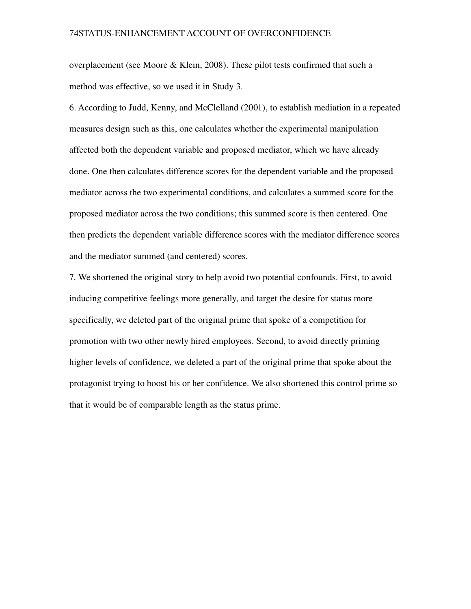overplacement (see Moore & Klein, 2008). These pilot tests confirmed that such a method was effective, so we used it in Study 3.

6. According to Judd, Kenny, and McClelland (2001), to establish mediation in a repeated measures design such as this, one calculates whether the experimental manipulation affected both the dependent variable and proposed mediator, which we have already done. One then calculates difference scores for the dependent variable and the proposed mediator across the two experimental conditions, and calculates a summed score for the proposed mediator across the two conditions; this summed score is then centered. One then predicts the dependent variable difference scores with the mediator difference scores and the mediator summed (and centered) scores.

7. We shortened the original story to help avoid two potential confounds. First, to avoid inducing competitive feelings more generally, and target the desire for status more specifically, we deleted part of the original prime that spoke of a competition for promotion with two other newly hired employees. Second, to avoid directly priming higher levels of confidence, we deleted a part of the original prime that spoke about the protagonist trying to boost his or her confidence. We also shortened this control prime so that it would be of comparable length as the status prime.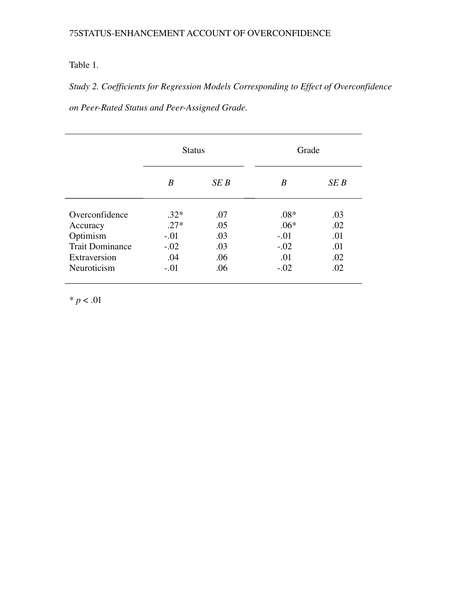# Table 1.

*Study 2. Coefficients for Regression Models Corresponding to Effect of Overconfidence*  $on$  Peer-Rated Status and Peer-Assigned Grade.

|                        | <b>Status</b> |     | Grade  |      |
|------------------------|---------------|-----|--------|------|
|                        | B             | SEB | B      | SE B |
| Overconfidence         | $.32*$        | .07 | $.08*$ | .03  |
| Accuracy               | $.27*$        | .05 | $.06*$ | .02  |
| Optimism               | $-.01$        | .03 | $-.01$ | .01  |
| <b>Trait Dominance</b> | $-.02$        | .03 | $-.02$ | .01  |
| Extraversion           | .04           | .06 | .01    | .02  |
| Neuroticism            | $-.01$        | .06 | $-.02$ | .02  |

 $* p < .01$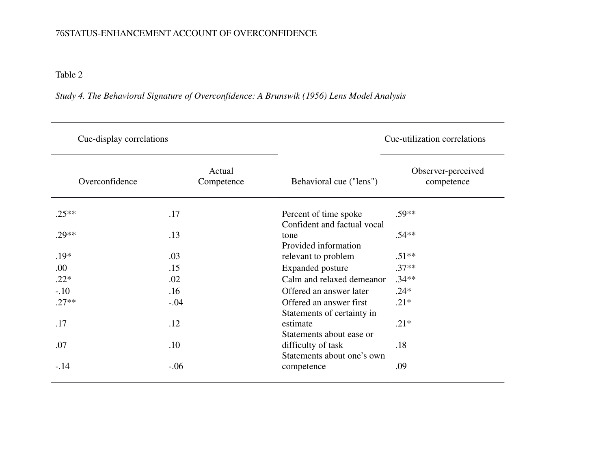Table 2

*Study 4. The Behavioral Signature of Overconfidence: A Brunswik (1956) Lens Model Analysis*

| Cue-display correlations |                      |                                                       | Cue-utilization correlations     |  |
|--------------------------|----------------------|-------------------------------------------------------|----------------------------------|--|
| Overconfidence           | Actual<br>Competence | Behavioral cue ("lens")                               | Observer-perceived<br>competence |  |
| $.25**$                  | .17                  | Percent of time spoke<br>Confident and factual vocal  | $.59**$                          |  |
| $.29**$                  | .13                  | tone<br>Provided information                          | $.54**$                          |  |
| $.19*$                   | .03                  | relevant to problem                                   | $.51**$                          |  |
| .00                      | .15                  | <b>Expanded posture</b>                               | $.37**$                          |  |
| $.22*$                   | .02                  | Calm and relaxed demeanor                             | $.34**$                          |  |
| $-.10$                   | .16                  | Offered an answer later                               | $.24*$                           |  |
| $.27**$                  | $-.04$               | Offered an answer first<br>Statements of certainty in | $.21*$                           |  |
| .17                      | .12                  | estimate<br>Statements about ease or                  | $.21*$                           |  |
| .07                      | .10                  | difficulty of task<br>Statements about one's own      | .18                              |  |
| $-.14$                   | $-.06$               | competence                                            | .09                              |  |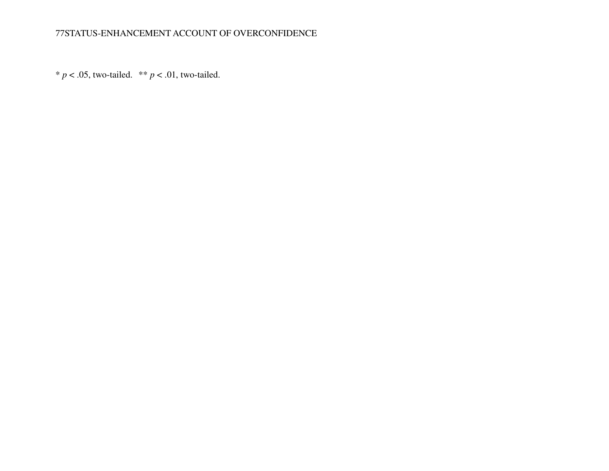\*  $p < .05$ , two-tailed. \*\*  $p < .01$ , two-tailed.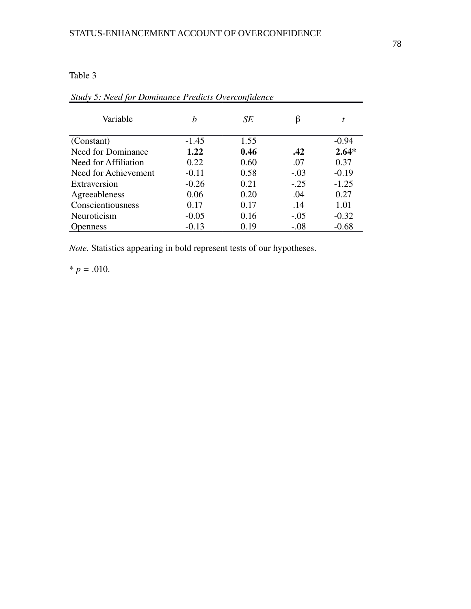### Table 3

| Variable             | h       | SЕ   | β      | t       |
|----------------------|---------|------|--------|---------|
| (Constant)           | $-1.45$ | 1.55 |        | $-0.94$ |
| Need for Dominance   | 1.22    | 0.46 | .42    | $2.64*$ |
| Need for Affiliation | 0.22    | 0.60 | .07    | 0.37    |
| Need for Achievement | $-0.11$ | 0.58 | $-.03$ | $-0.19$ |
| Extraversion         | $-0.26$ | 0.21 | $-.25$ | $-1.25$ |
| Agreeableness        | 0.06    | 0.20 | .04    | 0.27    |
| Conscientiousness    | 0.17    | 0.17 | .14    | 1.01    |
| Neuroticism          | $-0.05$ | 0.16 | $-.05$ | $-0.32$ |
| <b>Openness</b>      | $-0.13$ | 0.19 | $-.08$ | $-0.68$ |

# *Study 5: Need for Dominance Predicts Overconfidence*

*Note.* Statistics appearing in bold represent tests of our hypotheses.

 $* p = .010.$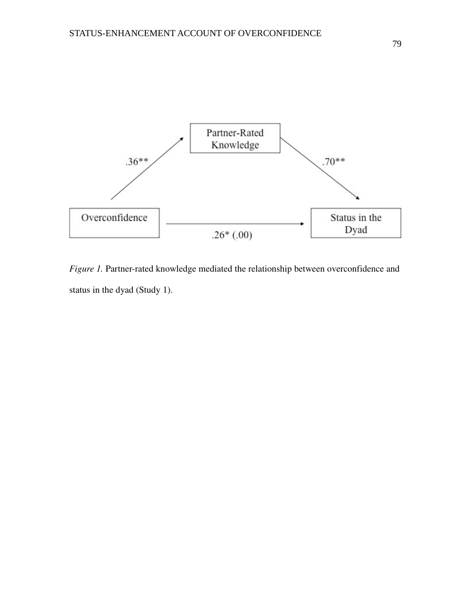

Figure 1. Partner-rated knowledge mediated the relationship between overconfidence and status in the dyad (Study 1).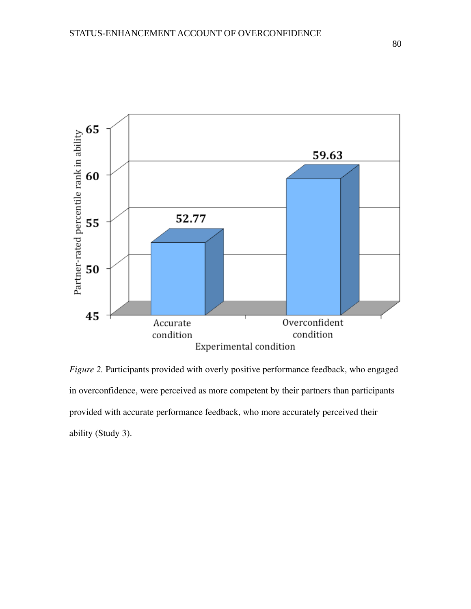

*Figure 2.* Participants provided with overly positive performance feedback, who engaged in overconfidence, were perceived as more competent by their partners than participants provided with accurate performance feedback, who more accurately perceived their ability (Study 3).